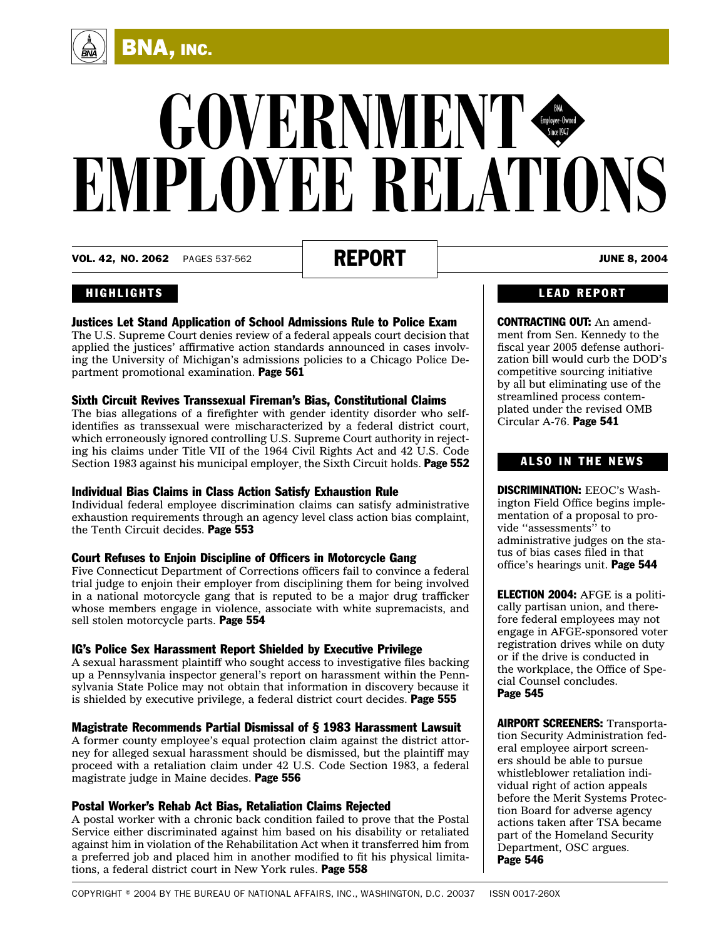

VOL. 42, NO. 2062 PAGES 537-562 **REPORT** | **REPORT** 

BNA, INC.

#### HIGHLIGHTS

 $\left(\begin{array}{c}\n\overrightarrow{A} \\
\overrightarrow{B} \\
\overrightarrow{B}\n\end{array}\right)$ 

#### Justices Let Stand Application of School Admissions Rule to Police Exam

The U.S. Supreme Court denies review of a federal appeals court decision that applied the justices' affirmative action standards announced in cases involving the University of Michigan's admissions policies to a Chicago Police Department promotional examination. [Page 561](#page-24-0)

#### Sixth Circuit Revives Transsexual Fireman's Bias, Constitutional Claims

The bias allegations of a firefighter with gender identity disorder who selfidentifies as transsexual were mischaracterized by a federal district court, which erroneously ignored controlling U.S. Supreme Court authority in rejecting his claims under Title VII of the 1964 Civil Rights Act and 42 U.S. Code Section 1983 against his municipal employer, the Sixth Circuit holds. [Page 552](#page-15-0)

#### Individual Bias Claims in Class Action Satisfy Exhaustion Rule

Individual federal employee discrimination claims can satisfy administrative exhaustion requirements through an agency level class action bias complaint, the Tenth Circuit decides. [Page 553](#page-16-0)

#### Court Refuses to Enjoin Discipline of Officers in Motorcycle Gang

Five Connecticut Department of Corrections officers fail to convince a federal trial judge to enjoin their employer from disciplining them for being involved in a national motorcycle gang that is reputed to be a major drug trafficker whose members engage in violence, associate with white supremacists, and sell stolen motorcycle parts. [Page 554](#page-17-0)

#### IG's Police Sex Harassment Report Shielded by Executive Privilege

A sexual harassment plaintiff who sought access to investigative files backing up a Pennsylvania inspector general's report on harassment within the Pennsylvania State Police may not obtain that information in discovery because it is shielded by executive privilege, a federal district court decides. [Page 555](#page-18-0)

#### Magistrate Recommends Partial Dismissal of § 1983 Harassment Lawsuit

A former county employee's equal protection claim against the district attorney for alleged sexual harassment should be dismissed, but the plaintiff may proceed with a retaliation claim under 42 U.S. Code Section 1983, a federal magistrate judge in Maine decides. [Page 556](#page-19-0)

#### Postal Worker's Rehab Act Bias, Retaliation Claims Rejected

A postal worker with a chronic back condition failed to prove that the Postal Service either discriminated against him based on his disability or retaliated against him in violation of the Rehabilitation Act when it transferred him from a preferred job and placed him in another modified to fit his physical limitations, a federal district court in New York rules. [Page 558](#page-21-0)

#### LEAD REPORT

CONTRACTING OUT: An amendment from Sen. Kennedy to the fiscal year 2005 defense authorization bill would curb the DOD's competitive sourcing initiative by all but eliminating use of the streamlined process contemplated under the revised OMB Circular A-76. [Page 541](#page-4-0)

#### ALSO IN THE NEWS

DISCRIMINATION: EEOC's Washington Field Office begins implementation of a proposal to provide ''assessments'' to administrative judges on the status of bias cases filed in that office's hearings unit. [Page 544](#page-7-0)

ELECTION 2004: AFGE is a politically partisan union, and therefore federal employees may not engage in AFGE-sponsored voter registration drives while on duty or if the drive is conducted in the workplace, the Office of Special Counsel concludes. [Page 545](#page-8-0)

AIRPORT SCREENERS: Transportation Security Administration federal employee airport screeners should be able to pursue whistleblower retaliation individual right of action appeals before the Merit Systems Protection Board for adverse agency actions taken after TSA became part of the Homeland Security Department, OSC argues. [Page 546](#page-9-0)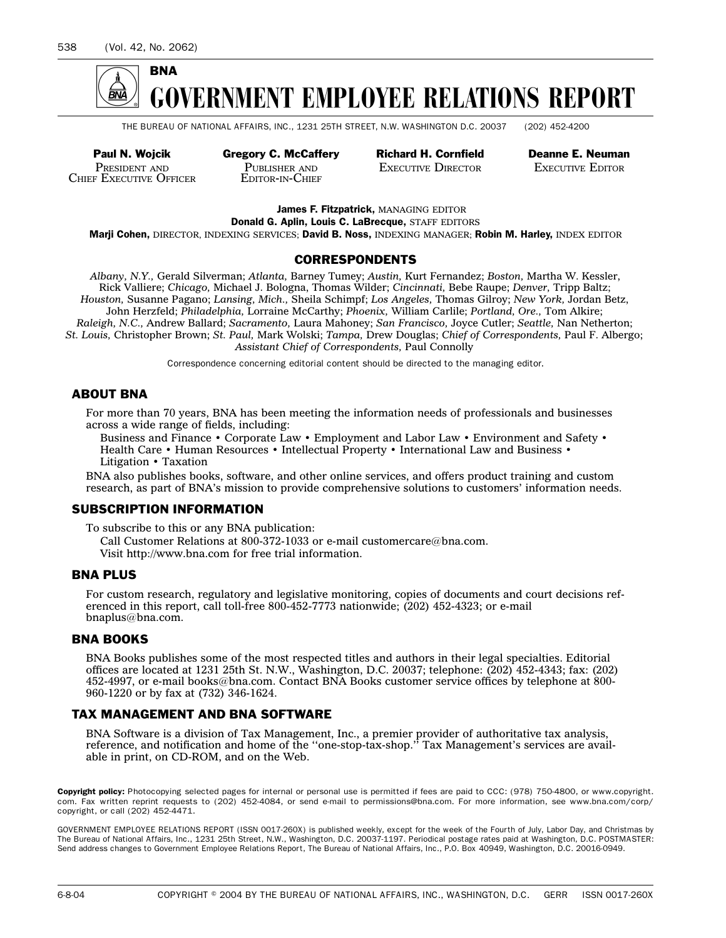

THE BUREAU OF NATIONAL AFFAIRS, INC., 1231 25TH STREET, N.W. WASHINGTON D.C. 20037 (202) 452-4200

PRESIDENT AND CHIEF EXECUTIVE OFFICER

PUBLISHER AND EDITOR-IN-CHIEF

Paul N. Wojcik Gregory C. McCaffery Richard H. Cornfield Deanne E. Neuman EXECUTIVE DIRECTOR **EXECUTIVE EDITOR** 

James F. Fitzpatrick, MANAGING EDITOR Donald G. Aplin, Louis C. LaBrecque, STAFF EDITORS

Marji Cohen, DIRECTOR, INDEXING SERVICES; David B. Noss, INDEXING MANAGER; Robin M. Harley, INDEX EDITOR

#### CORRESPONDENTS

*Albany, N.Y.,* Gerald Silverman; *Atlanta,* Barney Tumey; *Austin,* Kurt Fernandez; *Boston,* Martha W. Kessler, Rick Valliere; *Chicago,* Michael J. Bologna, Thomas Wilder; *Cincinnati,* Bebe Raupe; *Denver,* Tripp Baltz; *Houston,* Susanne Pagano; *Lansing, Mich.,* Sheila Schimpf; *Los Angeles,* Thomas Gilroy; *New York,* Jordan Betz, John Herzfeld; *Philadelphia,* Lorraine McCarthy; *Phoenix,* William Carlile; *Portland, Ore.,* Tom Alkire; *Raleigh, N.C.,* Andrew Ballard; *Sacramento,* Laura Mahoney; *San Francisco,* Joyce Cutler; *Seattle,* Nan Netherton; *St. Louis,* Christopher Brown; *St. Paul,* Mark Wolski; *Tampa,* Drew Douglas; *Chief of Correspondents,* Paul F. Albergo; *Assistant Chief of Correspondents,* Paul Connolly

Correspondence concerning editorial content should be directed to the managing editor.

#### ABOUT BNA

For more than 70 years, BNA has been meeting the information needs of professionals and businesses across a wide range of fields, including:

Business and Finance • Corporate Law • Employment and Labor Law • Environment and Safety • Health Care • Human Resources • Intellectual Property • International Law and Business • Litigation • Taxation

BNA also publishes books, software, and other online services, and offers product training and custom research, as part of BNA's mission to provide comprehensive solutions to customers' information needs.

#### SUBSCRIPTION INFORMATION

To subscribe to this or any BNA publication:

Call Customer Relations at 800-372-1033 or e-mail customercare@bna.com. Visit http://www.bna.com for free trial information.

#### BNA PLUS

For custom research, regulatory and legislative monitoring, copies of documents and court decisions referenced in this report, call toll-free 800-452-7773 nationwide; (202) 452-4323; or e-mail bnaplus@bna.com.

#### BNA BOOKS

BNA Books publishes some of the most respected titles and authors in their legal specialties. Editorial offices are located at 1231 25th St. N.W., Washington, D.C. 20037; telephone: (202) 452-4343; fax: (202) 452-4997, or e-mail books@bna.com. Contact BNA Books customer service offices by telephone at 800- 960-1220 or by fax at (732) 346-1624.

#### TAX MANAGEMENT AND BNA SOFTWARE

BNA Software is a division of Tax Management, Inc., a premier provider of authoritative tax analysis, reference, and notification and home of the ''one-stop-tax-shop.'' Tax Management's services are available in print, on CD-ROM, and on the Web.

Copyright policy: Photocopying selected pages for internal or personal use is permitted if fees are paid to CCC: (978) 750-4800, or www.copyright. com. Fax written reprint requests to (202) 452-4084, or send e-mail to permissions@bna.com. For more information, see www.bna.com/corp/ copyright, or call (202) 452-4471.

GOVERNMENT EMPLOYEE RELATIONS REPORT (ISSN 0017-260X) is published weekly, except for the week of the Fourth of July, Labor Day, and Christmas by The Bureau of National Affairs, Inc., 1231 25th Street, N.W., Washington, D.C. 20037-1197. Periodical postage rates paid at Washington, D.C. POSTMASTER: Send address changes to Government Employee Relations Report, The Bureau of National Affairs, Inc., P.O. Box 40949, Washington, D.C. 20016-0949.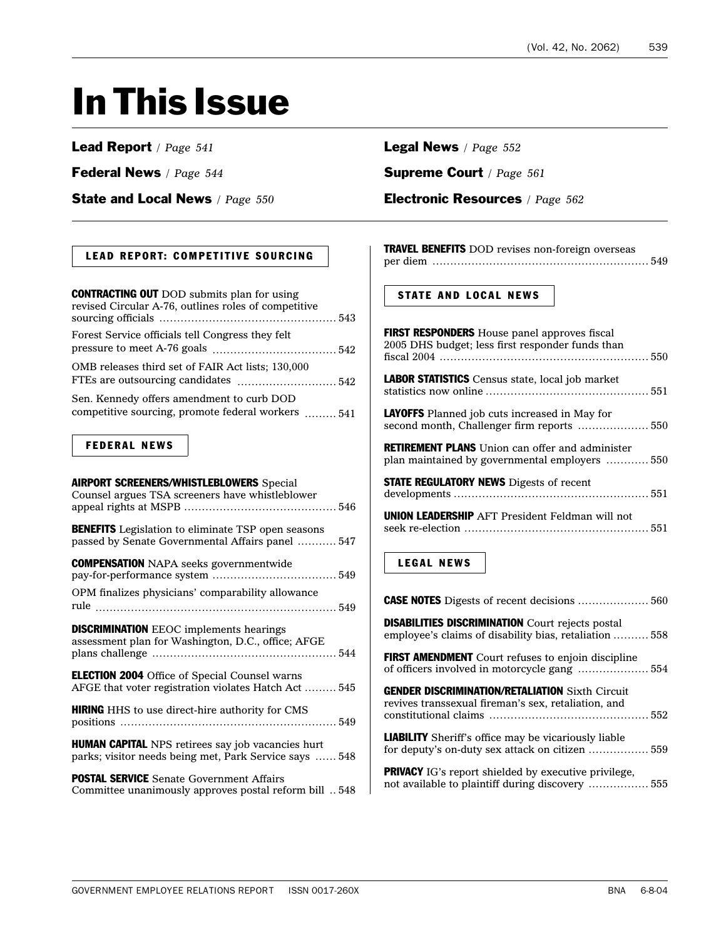## In This Issue

#### Lead Report */ Page 541*

Federal News */ Page 544*

State and Local News */ Page 550*

#### LEAD REPORT: COMPETITIVE SOURCING

| <b>CONTRACTING OUT</b> DOD submits plan for using<br>revised Circular A-76, outlines roles of competitive |  |
|-----------------------------------------------------------------------------------------------------------|--|
| Forest Service officials tell Congress they felt                                                          |  |
| OMB releases third set of FAIR Act lists; 130,000                                                         |  |
| Sen. Kennedy offers amendment to curb DOD<br>competitive sourcing, promote federal workers  541           |  |

#### FEDERAL NEWS

| <b>AIRPORT SCREENERS/WHISTLEBLOWERS</b> Special<br>Counsel argues TSA screeners have whistleblower                 |
|--------------------------------------------------------------------------------------------------------------------|
|                                                                                                                    |
| <b>BENEFITS</b> Legislation to eliminate TSP open seasons<br>passed by Senate Governmental Affairs panel  547      |
| <b>COMPENSATION</b> NAPA seeks governmentwide                                                                      |
| OPM finalizes physicians' comparability allowance                                                                  |
| <b>DISCRIMINATION</b> EEOC implements hearings<br>assessment plan for Washington, D.C., office; AFGE               |
| <b>ELECTION 2004</b> Office of Special Counsel warns<br>AFGE that voter registration violates Hatch Act  545       |
| <b>HIRING</b> HHS to use direct-hire authority for CMS                                                             |
| <b>HUMAN CAPITAL</b> NPS retirees say job vacancies hurt<br>parks; visitor needs being met, Park Service says  548 |
| <b>POSTAL SERVICE</b> Senate Government Affairs<br>Committee unanimously approves postal reform bill  548          |

#### Legal News */ Page 552*

Supreme Court */ Page 561*

#### Electronic Resources */ Page 562*

| TRAVEL BENEFITS DOD revises non-foreign overseas |  |
|--------------------------------------------------|--|
|                                                  |  |

#### STATE AND LOCAL NEWS

| <b>FIRST RESPONDERS</b> House panel approves fiscal<br>2005 DHS budget; less first responder funds than           |
|-------------------------------------------------------------------------------------------------------------------|
| LABOR STATISTICS Census state, local job market                                                                   |
| <b>LAYOFFS</b> Planned job cuts increased in May for<br>second month, Challenger firm reports  550                |
| <b>RETIREMENT PLANS</b> Union can offer and administer<br>plan maintained by governmental employers  550          |
| <b>STATE REGULATORY NEWS</b> Digests of recent                                                                    |
| <b>UNION LEADERSHIP</b> AFT President Feldman will not                                                            |
| <b>LEGAL NEWS</b>                                                                                                 |
| <b>CASE NOTES</b> Digests of recent decisions  560                                                                |
| <b>DISABILITIES DISCRIMINATION</b> Court rejects postal<br>employee's claims of disability bias, retaliation  558 |
| <b>FIRST AMENDMENT</b> Court refuses to enjoin discipline                                                         |
| <b>GENDER DISCRIMINATION/RETALIATION Sixth Circuit</b><br>revives transsexual fireman's sex, retaliation, and     |
| <b>LIABILITY</b> Sheriff's office may be vicariously liable<br>for deputy's on-duty sex attack on citizen  559    |
| <b>PRIVACY</b> IG's report shielded by executive privilege                                                        |

PRIVACY IG's report shielded by executive privilege, not available to plaintiff during discovery ................. [555](#page-18-0)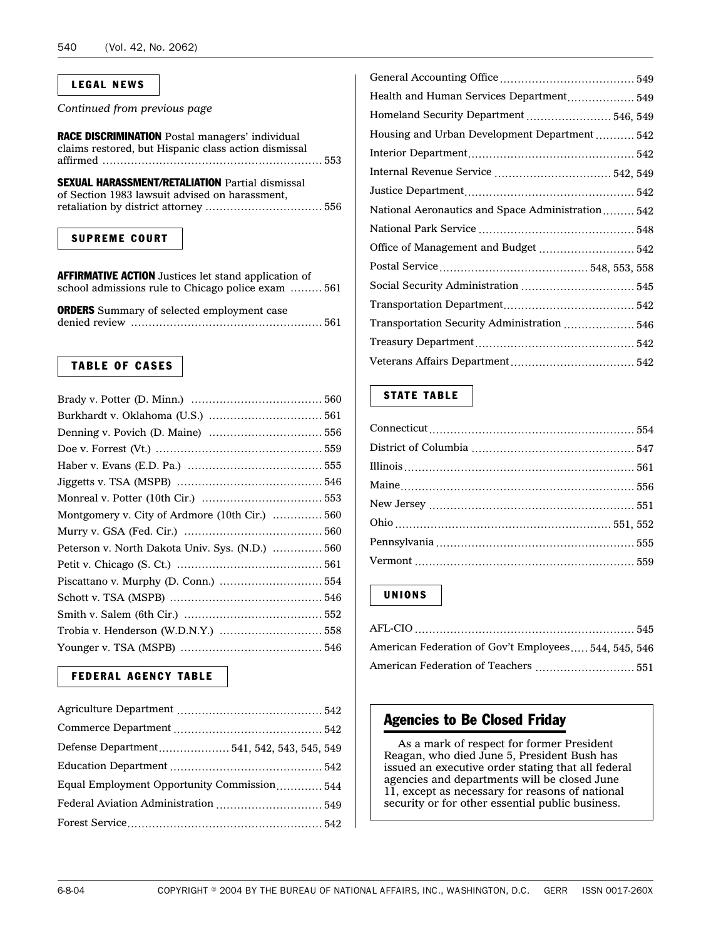#### LEGAL NEWS

*Continued from previous page*

| RACE DISCRIMINATION Postal managers' individual<br>claims restored, but Hispanic class action dismissal |  |
|---------------------------------------------------------------------------------------------------------|--|
| <b>SEXUAL HARASSMENT/RETALIATION Partial dismissal</b>                                                  |  |

of Section 1983 lawsuit advised on harassment, retaliation by district attorney ................................. [556](#page-19-0)

#### SUPREME COURT

AFFIRMATIVE ACTION Justices let stand application of school admissions rule to Chicago police exam ......... [561](#page-24-0)

ORDERS Summary of selected employment case denied review ...................................................... [561](#page-24-0)

#### TABLE OF CASES

| Montgomery v. City of Ardmore (10th Cir.)  560  |  |
|-------------------------------------------------|--|
|                                                 |  |
| Peterson v. North Dakota Univ. Sys. (N.D.)  560 |  |
|                                                 |  |
|                                                 |  |
|                                                 |  |
|                                                 |  |
|                                                 |  |
|                                                 |  |

#### FEDERAL AGENCY TABLE

| Defense Department 541, 542, 543, 545, 549  |  |
|---------------------------------------------|--|
|                                             |  |
| Equal Employment Opportunity Commission 544 |  |
| Federal Aviation Administration  549        |  |
|                                             |  |

| Health and Human Services Department 549          |
|---------------------------------------------------|
| Homeland Security Department  546, 549            |
| Housing and Urban Development Department  542     |
|                                                   |
| Internal Revenue Service  542, 549                |
|                                                   |
| National Aeronautics and Space Administration 542 |
|                                                   |
| Office of Management and Budget  542              |
|                                                   |
|                                                   |
|                                                   |
| Transportation Security Administration  546       |
|                                                   |
|                                                   |
|                                                   |

#### STATE TABLE

#### UNIONS

| American Federation of Gov't Employees 544, 545, 546 |  |
|------------------------------------------------------|--|
| American Federation of Teachers  551                 |  |

#### Agencies to Be Closed Friday

As a mark of respect for former President Reagan, who died June 5, President Bush has issued an executive order stating that all federal agencies and departments will be closed June 11, except as necessary for reasons of national security or for other essential public business.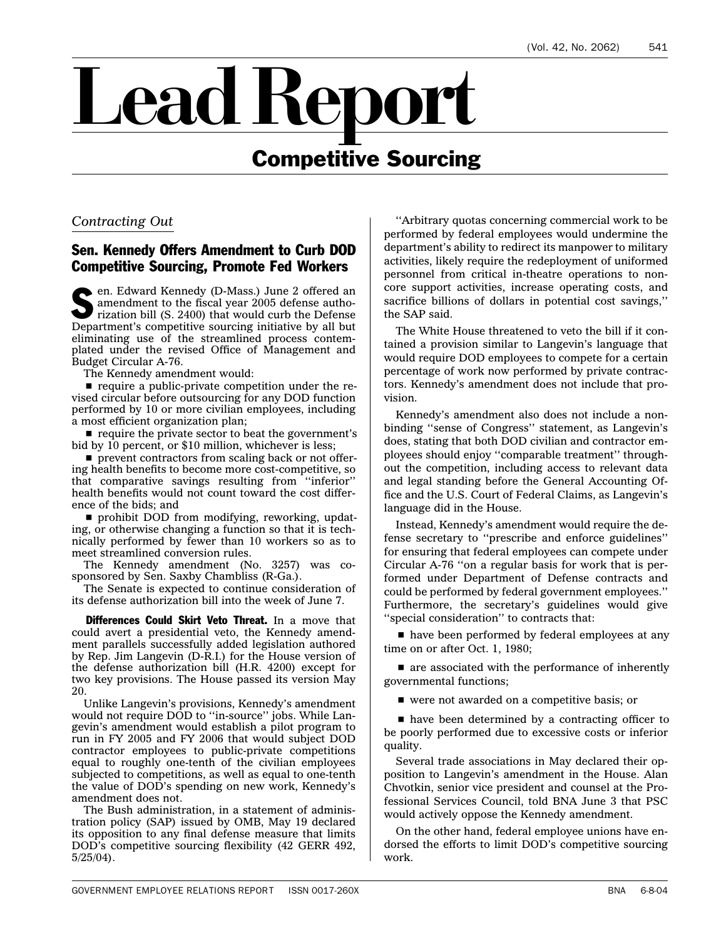# <span id="page-4-0"></span>ead Report Competitive Sourcing

#### *Contracting Out*

#### Sen. Kennedy Offers Amendment to Curb DOD Competitive Sourcing, Promote Fed Workers

en. Edward Kennedy (D-Mass.) June 2 offered an amendment to the fiscal year 2005 defense authorization bill (S. 2400) that would curb the Defense Department's competitive sourcing initiative by all but eliminating use of the streamlined process contemplated under the revised Office of Management and Budget Circular A-76.

The Kennedy amendment would:

 $\blacksquare$  require a public-private competition under the revised circular before outsourcing for any DOD function performed by 10 or more civilian employees, including a most efficient organization plan;

require the private sector to beat the government's bid by 10 percent, or \$10 million, whichever is less;

 $\blacksquare$  prevent contractors from scaling back or not offering health benefits to become more cost-competitive, so that comparative savings resulting from ''inferior'' health benefits would not count toward the cost difference of the bids; and

 $\blacksquare$  prohibit DOD from modifying, reworking, updating, or otherwise changing a function so that it is technically performed by fewer than 10 workers so as to meet streamlined conversion rules.

The Kennedy amendment (No. 3257) was cosponsored by Sen. Saxby Chambliss (R-Ga.).

The Senate is expected to continue consideration of its defense authorization bill into the week of June 7.

Differences Could Skirt Veto Threat. In a move that could avert a presidential veto, the Kennedy amendment parallels successfully added legislation authored by Rep. Jim Langevin (D-R.I.) for the House version of the defense authorization bill (H.R. 4200) except for two key provisions. The House passed its version May 20.

Unlike Langevin's provisions, Kennedy's amendment would not require DOD to ''in-source'' jobs. While Langevin's amendment would establish a pilot program to run in FY 2005 and FY 2006 that would subject DOD contractor employees to public-private competitions equal to roughly one-tenth of the civilian employees subjected to competitions, as well as equal to one-tenth the value of DOD's spending on new work, Kennedy's amendment does not.

The Bush administration, in a statement of administration policy (SAP) issued by OMB, May 19 declared its opposition to any final defense measure that limits DOD's competitive sourcing flexibility (42 GERR 492, 5/25/04).

''Arbitrary quotas concerning commercial work to be performed by federal employees would undermine the department's ability to redirect its manpower to military activities, likely require the redeployment of uniformed personnel from critical in-theatre operations to noncore support activities, increase operating costs, and sacrifice billions of dollars in potential cost savings,'' the SAP said.

The White House threatened to veto the bill if it contained a provision similar to Langevin's language that would require DOD employees to compete for a certain percentage of work now performed by private contractors. Kennedy's amendment does not include that provision.

Kennedy's amendment also does not include a nonbinding ''sense of Congress'' statement, as Langevin's does, stating that both DOD civilian and contractor employees should enjoy ''comparable treatment'' throughout the competition, including access to relevant data and legal standing before the General Accounting Office and the U.S. Court of Federal Claims, as Langevin's language did in the House.

Instead, Kennedy's amendment would require the defense secretary to ''prescribe and enforce guidelines'' for ensuring that federal employees can compete under Circular A-76 ''on a regular basis for work that is performed under Department of Defense contracts and could be performed by federal government employees.'' Furthermore, the secretary's guidelines would give ''special consideration'' to contracts that:

n have been performed by federal employees at any time on or after Oct. 1, 1980;

 $\blacksquare$  are associated with the performance of inherently governmental functions;

vere not awarded on a competitive basis; or

net have been determined by a contracting officer to be poorly performed due to excessive costs or inferior quality.

Several trade associations in May declared their opposition to Langevin's amendment in the House. Alan Chvotkin, senior vice president and counsel at the Professional Services Council, told BNA June 3 that PSC would actively oppose the Kennedy amendment.

On the other hand, federal employee unions have endorsed the efforts to limit DOD's competitive sourcing work.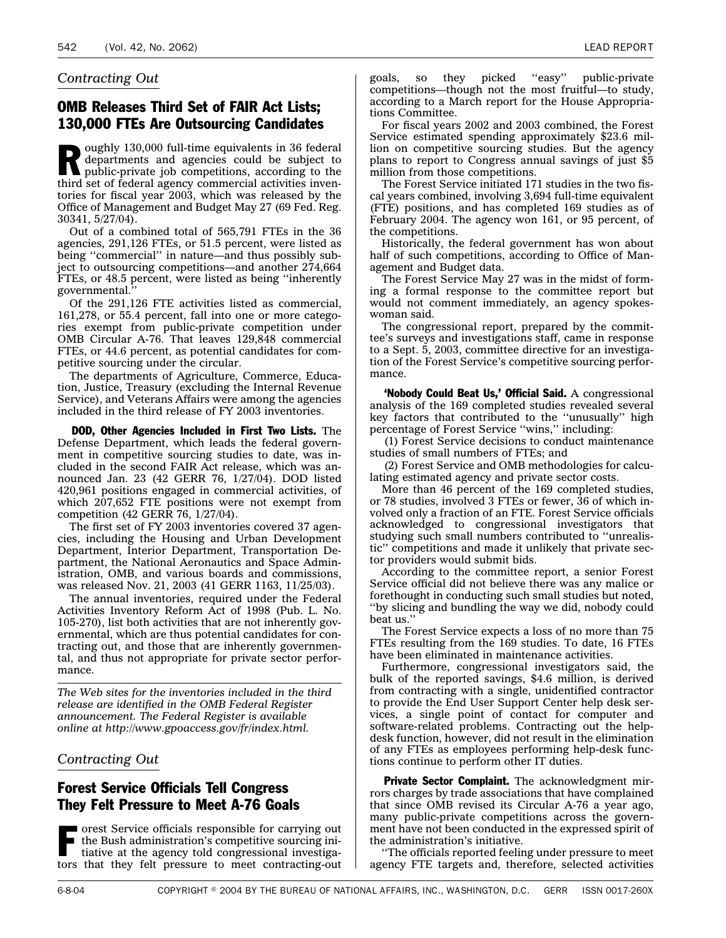#### <span id="page-5-0"></span>*Contracting Out*

#### OMB Releases Third Set of FAIR Act Lists; 130,000 FTEs Are Outsourcing Candidates

D oughly 130,000 full-time equivalents in 36 federal departments and agencies could be subject to public-private job competitions, according to the third set of federal agency commercial activities inventories for fiscal year 2003, which was released by the Office of Management and Budget May 27 (69 Fed. Reg. 30341, 5/27/04).

Out of a combined total of 565,791 FTEs in the 36 agencies, 291,126 FTEs, or 51.5 percent, were listed as being ''commercial'' in nature—and thus possibly subject to outsourcing competitions—and another 274,664 FTEs, or 48.5 percent, were listed as being ''inherently governmental.''

Of the 291,126 FTE activities listed as commercial, 161,278, or 55.4 percent, fall into one or more categories exempt from public-private competition under OMB Circular A-76. That leaves 129,848 commercial FTEs, or 44.6 percent, as potential candidates for competitive sourcing under the circular.

The departments of Agriculture, Commerce, Education, Justice, Treasury (excluding the Internal Revenue Service), and Veterans Affairs were among the agencies included in the third release of FY 2003 inventories.

DOD, Other Agencies Included in First Two Lists. The Defense Department, which leads the federal government in competitive sourcing studies to date, was included in the second FAIR Act release, which was announced Jan. 23 (42 GERR 76, 1/27/04). DOD listed 420,961 positions engaged in commercial activities, of which 207,652 FTE positions were not exempt from competition (42 GERR 76, 1/27/04).

The first set of FY 2003 inventories covered 37 agencies, including the Housing and Urban Development Department, Interior Department, Transportation Department, the National Aeronautics and Space Administration, OMB, and various boards and commissions, was released Nov. 21, 2003 (41 GERR 1163, 11/25/03).

The annual inventories, required under the Federal Activities Inventory Reform Act of 1998 (Pub. L. No. 105-270), list both activities that are not inherently governmental, which are thus potential candidates for contracting out, and those that are inherently governmental, and thus not appropriate for private sector performance.

*The Web sites for the inventories included in the third release are identified in the OMB Federal Register announcement. The Federal Register is available online at http://www.gpoaccess.gov/fr/index.html.*

#### *Contracting Out*

#### Forest Service Officials Tell Congress They Felt Pressure to Meet A-76 Goals

**The orest Service officials responsible for carrying out** the Bush administration's competitive sourcing initiative at the agency told congressional investigators that they felt pressure to meet contracting-out goals, so they picked ''easy'' public-private competitions—though not the most fruitful—to study, according to a March report for the House Appropriations Committee.

For fiscal years 2002 and 2003 combined, the Forest Service estimated spending approximately \$23.6 million on competitive sourcing studies. But the agency plans to report to Congress annual savings of just \$5 million from those competitions.

The Forest Service initiated 171 studies in the two fiscal years combined, involving 3,694 full-time equivalent (FTE) positions, and has completed 169 studies as of February 2004. The agency won 161, or 95 percent, of the competitions.

Historically, the federal government has won about half of such competitions, according to Office of Management and Budget data.

The Forest Service May 27 was in the midst of forming a formal response to the committee report but would not comment immediately, an agency spokeswoman said.

The congressional report, prepared by the committee's surveys and investigations staff, came in response to a Sept. 5, 2003, committee directive for an investigation of the Forest Service's competitive sourcing performance.

'Nobody Could Beat Us,' Official Said. A congressional analysis of the 169 completed studies revealed several key factors that contributed to the ''unusually'' high percentage of Forest Service "wins," including:

(1) Forest Service decisions to conduct maintenance studies of small numbers of FTEs; and

(2) Forest Service and OMB methodologies for calculating estimated agency and private sector costs.

More than 46 percent of the 169 completed studies, or 78 studies, involved 3 FTEs or fewer, 36 of which involved only a fraction of an FTE. Forest Service officials acknowledged to congressional investigators that studying such small numbers contributed to ''unrealistic'' competitions and made it unlikely that private sector providers would submit bids.

According to the committee report, a senior Forest Service official did not believe there was any malice or forethought in conducting such small studies but noted, ''by slicing and bundling the way we did, nobody could beat us.''

The Forest Service expects a loss of no more than 75 FTEs resulting from the 169 studies. To date, 16 FTEs have been eliminated in maintenance activities.

Furthermore, congressional investigators said, the bulk of the reported savings, \$4.6 million, is derived from contracting with a single, unidentified contractor to provide the End User Support Center help desk services, a single point of contact for computer and software-related problems. Contracting out the helpdesk function, however, did not result in the elimination of any FTEs as employees performing help-desk functions continue to perform other IT duties.

Private Sector Complaint. The acknowledgment mirrors charges by trade associations that have complained that since OMB revised its Circular A-76 a year ago, many public-private competitions across the government have not been conducted in the expressed spirit of the administration's initiative.

''The officials reported feeling under pressure to meet agency FTE targets and, therefore, selected activities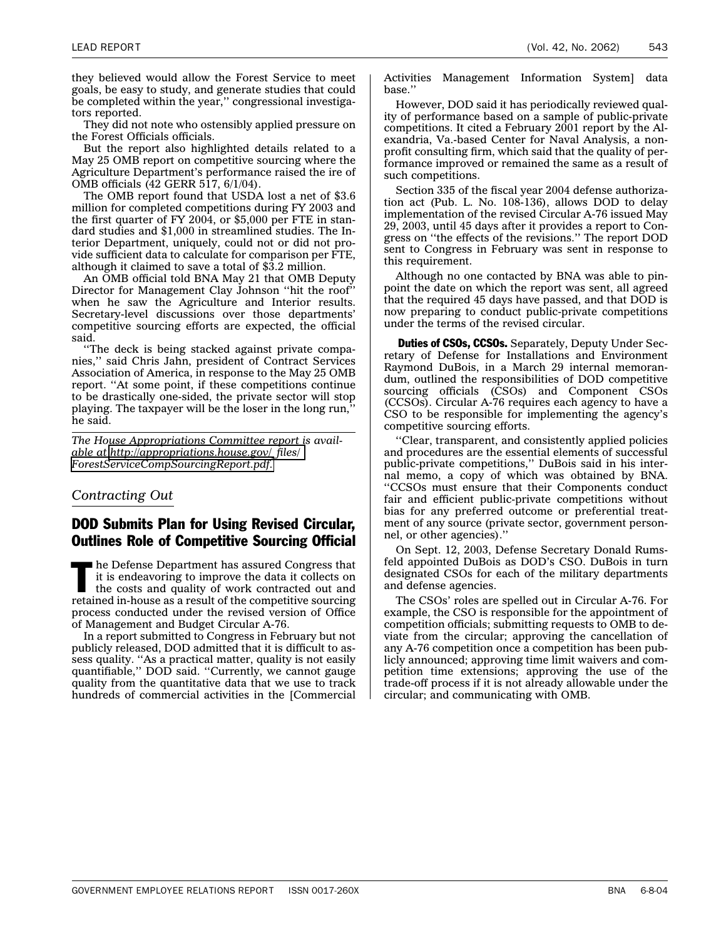<span id="page-6-0"></span>they believed would allow the Forest Service to meet goals, be easy to study, and generate studies that could be completed within the year,'' congressional investigators reported.

They did not note who ostensibly applied pressure on the Forest Officials officials.

But the report also highlighted details related to a May 25 OMB report on competitive sourcing where the Agriculture Department's performance raised the ire of OMB officials (42 GERR 517, 6/1/04).

The OMB report found that USDA lost a net of \$3.6 million for completed competitions during FY 2003 and the first quarter of FY 2004, or \$5,000 per FTE in standard studies and \$1,000 in streamlined studies. The Interior Department, uniquely, could not or did not provide sufficient data to calculate for comparison per FTE, although it claimed to save a total of \$3.2 million.

An OMB official told BNA May 21 that OMB Deputy Director for Management Clay Johnson ''hit the roof'' when he saw the Agriculture and Interior results. Secretary-level discussions over those departments' competitive sourcing efforts are expected, the official said.

''The deck is being stacked against private companies,'' said Chris Jahn, president of Contract Services Association of America, in response to the May 25 OMB report. ''At some point, if these competitions continue to be drastically one-sided, the private sector will stop playing. The taxpayer will be the loser in the long run,'' he said.

*The House Appropriations Committee report is available at [http://appropriations.house.gov/\\_files/](http://appropriations.house.gov/_files/ForestServiceCompSourcingReport.pdf) [ForestServiceCompSourcingReport.pdf.](http://appropriations.house.gov/_files/ForestServiceCompSourcingReport.pdf)*

#### *Contracting Out*

#### DOD Submits Plan for Using Revised Circular, Outlines Role of Competitive Sourcing Official

T he Defense Department has assured Congress that it is endeavoring to improve the data it collects on the costs and quality of work contracted out and retained in-house as a result of the competitive sourcing process conducted under the revised version of Office of Management and Budget Circular A-76.

In a report submitted to Congress in February but not publicly released, DOD admitted that it is difficult to assess quality. ''As a practical matter, quality is not easily quantifiable,'' DOD said. ''Currently, we cannot gauge quality from the quantitative data that we use to track hundreds of commercial activities in the [Commercial

Activities Management Information System] data base.''

However, DOD said it has periodically reviewed quality of performance based on a sample of public-private competitions. It cited a February 2001 report by the Alexandria, Va.-based Center for Naval Analysis, a nonprofit consulting firm, which said that the quality of performance improved or remained the same as a result of such competitions.

Section 335 of the fiscal year 2004 defense authorization act (Pub. L. No. 108-136), allows DOD to delay implementation of the revised Circular A-76 issued May 29, 2003, until 45 days after it provides a report to Congress on ''the effects of the revisions.'' The report DOD sent to Congress in February was sent in response to this requirement.

Although no one contacted by BNA was able to pinpoint the date on which the report was sent, all agreed that the required 45 days have passed, and that DOD is now preparing to conduct public-private competitions under the terms of the revised circular.

**Duties of CSOs, CCSOs.** Separately, Deputy Under Secretary of Defense for Installations and Environment Raymond DuBois, in a March 29 internal memorandum, outlined the responsibilities of DOD competitive sourcing officials (CSOs) and Component CSOs (CCSOs). Circular A-76 requires each agency to have a CSO to be responsible for implementing the agency's competitive sourcing efforts.

''Clear, transparent, and consistently applied policies and procedures are the essential elements of successful public-private competitions,'' DuBois said in his internal memo, a copy of which was obtained by BNA. ''CCSOs must ensure that their Components conduct fair and efficient public-private competitions without bias for any preferred outcome or preferential treatment of any source (private sector, government personnel, or other agencies).''

On Sept. 12, 2003, Defense Secretary Donald Rumsfeld appointed DuBois as DOD's CSO. DuBois in turn designated CSOs for each of the military departments and defense agencies.

The CSOs' roles are spelled out in Circular A-76. For example, the CSO is responsible for the appointment of competition officials; submitting requests to OMB to deviate from the circular; approving the cancellation of any A-76 competition once a competition has been publicly announced; approving time limit waivers and competition time extensions; approving the use of the trade-off process if it is not already allowable under the circular; and communicating with OMB.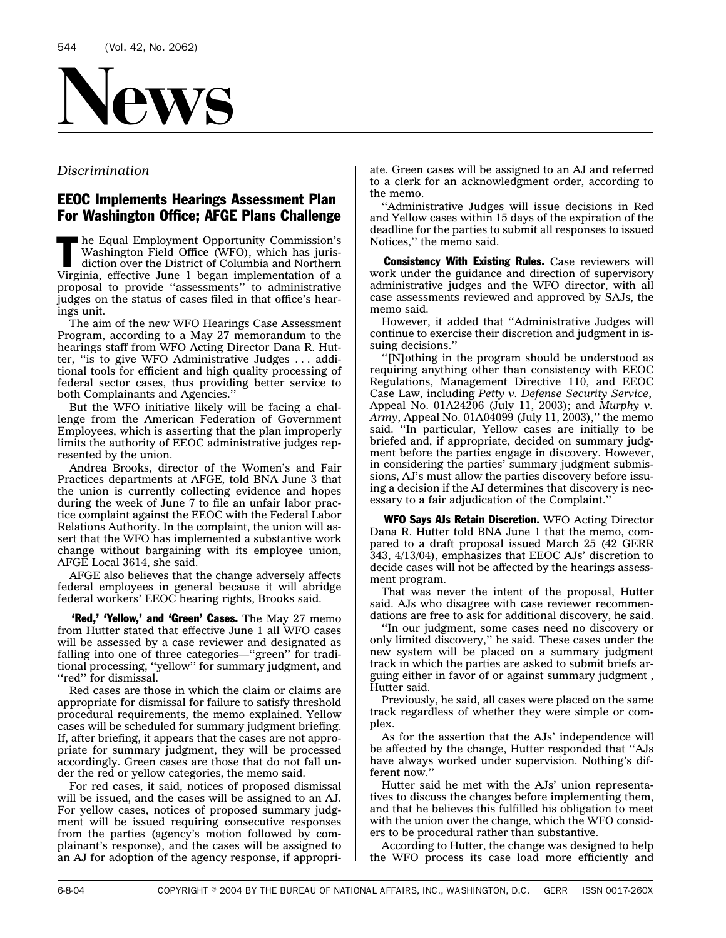<span id="page-7-0"></span>

#### *Discrimination*

#### EEOC Implements Hearings Assessment Plan For Washington Office; AFGE Plans Challenge

T he Equal Employment Opportunity Commission's Washington Field Office (WFO), which has jurisdiction over the District of Columbia and Northern Virginia, effective June 1 began implementation of a proposal to provide ''assessments'' to administrative judges on the status of cases filed in that office's hearings unit.

The aim of the new WFO Hearings Case Assessment Program, according to a May 27 memorandum to the hearings staff from WFO Acting Director Dana R. Hutter, ''is to give WFO Administrative Judges . . . additional tools for efficient and high quality processing of federal sector cases, thus providing better service to both Complainants and Agencies.''

But the WFO initiative likely will be facing a challenge from the American Federation of Government Employees, which is asserting that the plan improperly limits the authority of EEOC administrative judges represented by the union.

Andrea Brooks, director of the Women's and Fair Practices departments at AFGE, told BNA June 3 that the union is currently collecting evidence and hopes during the week of June 7 to file an unfair labor practice complaint against the EEOC with the Federal Labor Relations Authority. In the complaint, the union will assert that the WFO has implemented a substantive work change without bargaining with its employee union, AFGE Local 3614, she said.

AFGE also believes that the change adversely affects federal employees in general because it will abridge federal workers' EEOC hearing rights, Brooks said.

**'Red,' 'Yellow,' and 'Green' Cases.** The May 27 memo from Hutter stated that effective June 1 all WFO cases will be assessed by a case reviewer and designated as falling into one of three categories—"green" for traditional processing, ''yellow'' for summary judgment, and "red" for dismissal.

Red cases are those in which the claim or claims are appropriate for dismissal for failure to satisfy threshold procedural requirements, the memo explained. Yellow cases will be scheduled for summary judgment briefing. If, after briefing, it appears that the cases are not appropriate for summary judgment, they will be processed accordingly. Green cases are those that do not fall under the red or yellow categories, the memo said.

For red cases, it said, notices of proposed dismissal will be issued, and the cases will be assigned to an AJ. For yellow cases, notices of proposed summary judgment will be issued requiring consecutive responses from the parties (agency's motion followed by complainant's response), and the cases will be assigned to an AJ for adoption of the agency response, if appropriate. Green cases will be assigned to an AJ and referred to a clerk for an acknowledgment order, according to the memo.

''Administrative Judges will issue decisions in Red and Yellow cases within 15 days of the expiration of the deadline for the parties to submit all responses to issued Notices,'' the memo said.

**Consistency With Existing Rules.** Case reviewers will work under the guidance and direction of supervisory administrative judges and the WFO director, with all case assessments reviewed and approved by SAJs, the memo said.

However, it added that ''Administrative Judges will continue to exercise their discretion and judgment in issuing decisions.''

''[N]othing in the program should be understood as requiring anything other than consistency with EEOC Regulations, Management Directive 110, and EEOC Case Law, including *Petty v. Defense Security Service*, Appeal No. 01A24206 (July 11, 2003); and *Murphy v. Army*, Appeal No. 01A04099 (July 11, 2003),'' the memo said. ''In particular, Yellow cases are initially to be briefed and, if appropriate, decided on summary judgment before the parties engage in discovery. However, in considering the parties' summary judgment submissions, AJ's must allow the parties discovery before issuing a decision if the AJ determines that discovery is necessary to a fair adjudication of the Complaint.''

WFO Says AJs Retain Discretion. WFO Acting Director Dana R. Hutter told BNA June 1 that the memo, compared to a draft proposal issued March 25 (42 GERR 343, 4/13/04), emphasizes that EEOC AJs' discretion to decide cases will not be affected by the hearings assessment program.

That was never the intent of the proposal, Hutter said. AJs who disagree with case reviewer recommendations are free to ask for additional discovery, he said.

''In our judgment, some cases need no discovery or only limited discovery,'' he said. These cases under the new system will be placed on a summary judgment track in which the parties are asked to submit briefs arguing either in favor of or against summary judgment , Hutter said.

Previously, he said, all cases were placed on the same track regardless of whether they were simple or complex.

As for the assertion that the AJs' independence will be affected by the change, Hutter responded that ''AJs have always worked under supervision. Nothing's different now.''

Hutter said he met with the AJs' union representatives to discuss the changes before implementing them, and that he believes this fulfilled his obligation to meet with the union over the change, which the WFO considers to be procedural rather than substantive.

According to Hutter, the change was designed to help the WFO process its case load more efficiently and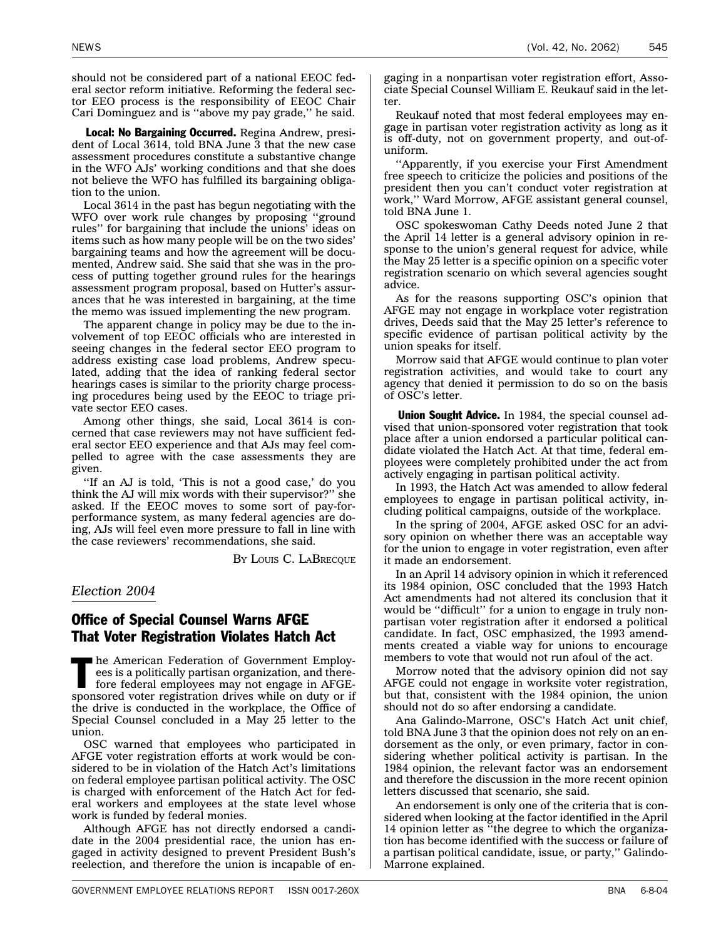<span id="page-8-0"></span>should not be considered part of a national EEOC federal sector reform initiative. Reforming the federal sector EEO process is the responsibility of EEOC Chair Cari Dominguez and is ''above my pay grade,'' he said.

Local: No Bargaining Occurred. Regina Andrew, president of Local 3614, told BNA June 3 that the new case assessment procedures constitute a substantive change in the WFO AJs' working conditions and that she does not believe the WFO has fulfilled its bargaining obligation to the union.

Local 3614 in the past has begun negotiating with the WFO over work rule changes by proposing ''ground rules'' for bargaining that include the unions' ideas on items such as how many people will be on the two sides' bargaining teams and how the agreement will be documented, Andrew said. She said that she was in the process of putting together ground rules for the hearings assessment program proposal, based on Hutter's assurances that he was interested in bargaining, at the time the memo was issued implementing the new program.

The apparent change in policy may be due to the involvement of top EEOC officials who are interested in seeing changes in the federal sector EEO program to address existing case load problems, Andrew speculated, adding that the idea of ranking federal sector hearings cases is similar to the priority charge processing procedures being used by the EEOC to triage private sector EEO cases.

Among other things, she said, Local 3614 is concerned that case reviewers may not have sufficient federal sector EEO experience and that AJs may feel compelled to agree with the case assessments they are given.

''If an AJ is told, 'This is not a good case,' do you think the AJ will mix words with their supervisor?'' she asked. If the EEOC moves to some sort of pay-forperformance system, as many federal agencies are doing, AJs will feel even more pressure to fall in line with the case reviewers' recommendations, she said.

BY LOUIS C. LABRECQUE

#### *Election 2004*

#### Office of Special Counsel Warns AFGE That Voter Registration Violates Hatch Act

 $\blacksquare$  he American Federation of Government Employees is a politically partisan organization, and therefore federal employees may not engage in AFGEsponsored voter registration drives while on duty or if the drive is conducted in the workplace, the Office of Special Counsel concluded in a May 25 letter to the union.

OSC warned that employees who participated in AFGE voter registration efforts at work would be considered to be in violation of the Hatch Act's limitations on federal employee partisan political activity. The OSC is charged with enforcement of the Hatch Act for federal workers and employees at the state level whose work is funded by federal monies.

Although AFGE has not directly endorsed a candidate in the 2004 presidential race, the union has engaged in activity designed to prevent President Bush's reelection, and therefore the union is incapable of en-

gaging in a nonpartisan voter registration effort, Associate Special Counsel William E. Reukauf said in the letter.

Reukauf noted that most federal employees may engage in partisan voter registration activity as long as it is off-duty, not on government property, and out-ofuniform.

''Apparently, if you exercise your First Amendment free speech to criticize the policies and positions of the president then you can't conduct voter registration at work,'' Ward Morrow, AFGE assistant general counsel, told BNA June 1.

OSC spokeswoman Cathy Deeds noted June 2 that the April 14 letter is a general advisory opinion in response to the union's general request for advice, while the May 25 letter is a specific opinion on a specific voter registration scenario on which several agencies sought advice.

As for the reasons supporting OSC's opinion that AFGE may not engage in workplace voter registration drives, Deeds said that the May 25 letter's reference to specific evidence of partisan political activity by the union speaks for itself.

Morrow said that AFGE would continue to plan voter registration activities, and would take to court any agency that denied it permission to do so on the basis of OSC's letter.

Union Sought Advice. In 1984, the special counsel advised that union-sponsored voter registration that took place after a union endorsed a particular political candidate violated the Hatch Act. At that time, federal employees were completely prohibited under the act from actively engaging in partisan political activity.

In 1993, the Hatch Act was amended to allow federal employees to engage in partisan political activity, including political campaigns, outside of the workplace.

In the spring of 2004, AFGE asked OSC for an advisory opinion on whether there was an acceptable way for the union to engage in voter registration, even after it made an endorsement.

In an April 14 advisory opinion in which it referenced its 1984 opinion, OSC concluded that the 1993 Hatch Act amendments had not altered its conclusion that it would be ''difficult'' for a union to engage in truly nonpartisan voter registration after it endorsed a political candidate. In fact, OSC emphasized, the 1993 amendments created a viable way for unions to encourage members to vote that would not run afoul of the act.

Morrow noted that the advisory opinion did not say AFGE could not engage in worksite voter registration, but that, consistent with the 1984 opinion, the union should not do so after endorsing a candidate.

Ana Galindo-Marrone, OSC's Hatch Act unit chief, told BNA June 3 that the opinion does not rely on an endorsement as the only, or even primary, factor in considering whether political activity is partisan. In the 1984 opinion, the relevant factor was an endorsement and therefore the discussion in the more recent opinion letters discussed that scenario, she said.

An endorsement is only one of the criteria that is considered when looking at the factor identified in the April 14 opinion letter as "the degree to which the organization has become identified with the success or failure of a partisan political candidate, issue, or party,'' Galindo-Marrone explained.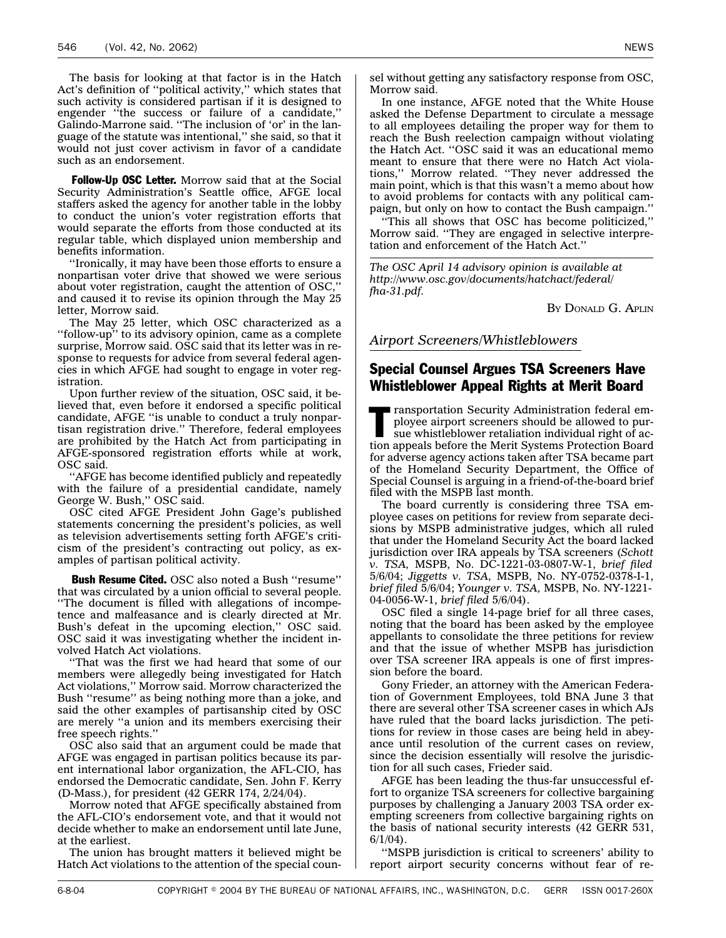<span id="page-9-0"></span>The basis for looking at that factor is in the Hatch Act's definition of ''political activity,'' which states that such activity is considered partisan if it is designed to engender "the success or failure of a candidate," Galindo-Marrone said. ''The inclusion of 'or' in the language of the statute was intentional,'' she said, so that it would not just cover activism in favor of a candidate such as an endorsement.

Follow-Up OSC Letter. Morrow said that at the Social Security Administration's Seattle office, AFGE local staffers asked the agency for another table in the lobby to conduct the union's voter registration efforts that would separate the efforts from those conducted at its regular table, which displayed union membership and benefits information.

''Ironically, it may have been those efforts to ensure a nonpartisan voter drive that showed we were serious about voter registration, caught the attention of OSC,'' and caused it to revise its opinion through the May 25 letter, Morrow said.

The May 25 letter, which OSC characterized as a ''follow-up'' to its advisory opinion, came as a complete surprise, Morrow said. OSC said that its letter was in response to requests for advice from several federal agencies in which AFGE had sought to engage in voter registration.

Upon further review of the situation, OSC said, it believed that, even before it endorsed a specific political candidate, AFGE ''is unable to conduct a truly nonpartisan registration drive.'' Therefore, federal employees are prohibited by the Hatch Act from participating in AFGE-sponsored registration efforts while at work, OSC said.

''AFGE has become identified publicly and repeatedly with the failure of a presidential candidate, namely George W. Bush,'' OSC said.

OSC cited AFGE President John Gage's published statements concerning the president's policies, as well as television advertisements setting forth AFGE's criticism of the president's contracting out policy, as examples of partisan political activity.

**Bush Resume Cited.** OSC also noted a Bush "resume" that was circulated by a union official to several people. ''The document is filled with allegations of incompetence and malfeasance and is clearly directed at Mr. Bush's defeat in the upcoming election," OSC said. OSC said it was investigating whether the incident involved Hatch Act violations.

''That was the first we had heard that some of our members were allegedly being investigated for Hatch Act violations,'' Morrow said. Morrow characterized the Bush ''resume'' as being nothing more than a joke, and said the other examples of partisanship cited by OSC are merely ''a union and its members exercising their free speech rights.''

OSC also said that an argument could be made that AFGE was engaged in partisan politics because its parent international labor organization, the AFL-CIO, has endorsed the Democratic candidate, Sen. John F. Kerry (D-Mass.), for president (42 GERR 174, 2/24/04).

Morrow noted that AFGE specifically abstained from the AFL-CIO's endorsement vote, and that it would not decide whether to make an endorsement until late June, at the earliest.

The union has brought matters it believed might be Hatch Act violations to the attention of the special counsel without getting any satisfactory response from OSC, Morrow said.

In one instance, AFGE noted that the White House asked the Defense Department to circulate a message to all employees detailing the proper way for them to reach the Bush reelection campaign without violating the Hatch Act. ''OSC said it was an educational memo meant to ensure that there were no Hatch Act violations,'' Morrow related. ''They never addressed the main point, which is that this wasn't a memo about how to avoid problems for contacts with any political campaign, but only on how to contact the Bush campaign.''

''This all shows that OSC has become politicized,'' Morrow said. ''They are engaged in selective interpretation and enforcement of the Hatch Act.''

*The OSC April 14 advisory opinion is available at http://www.osc.gov/documents/hatchact/federal/ fha-31.pdf.*

BY DONALD G. APLIN

*Airport Screeners/Whistleblowers*

#### Special Counsel Argues TSA Screeners Have Whistleblower Appeal Rights at Merit Board

**Transportation Security Administration federal em**ployee airport screeners should be allowed to pursue whistleblower retaliation individual right of action appeals before the Merit Systems Protection Board for adverse agency actions taken after TSA became part of the Homeland Security Department, the Office of Special Counsel is arguing in a friend-of-the-board brief filed with the MSPB last month.

The board currently is considering three TSA employee cases on petitions for review from separate decisions by MSPB administrative judges, which all ruled that under the Homeland Security Act the board lacked jurisdiction over IRA appeals by TSA screeners (*Schott v. TSA,* MSPB, No. DC-1221-03-0807-W-1, *brief filed* 5/6/04; *Jiggetts v. TSA,* MSPB, No. NY-0752-0378-I-1, *brief filed* 5/6/04; *Younger v. TSA,* MSPB, No. NY-1221- 04-0056-W-1, *brief filed* 5/6/04).

OSC filed a single 14-page brief for all three cases, noting that the board has been asked by the employee appellants to consolidate the three petitions for review and that the issue of whether MSPB has jurisdiction over TSA screener IRA appeals is one of first impression before the board.

Gony Frieder, an attorney with the American Federation of Government Employees, told BNA June 3 that there are several other TSA screener cases in which AJs have ruled that the board lacks jurisdiction. The petitions for review in those cases are being held in abeyance until resolution of the current cases on review, since the decision essentially will resolve the jurisdiction for all such cases, Frieder said.

AFGE has been leading the thus-far unsuccessful effort to organize TSA screeners for collective bargaining purposes by challenging a January 2003 TSA order exempting screeners from collective bargaining rights on the basis of national security interests (42 GERR 531, 6/1/04).

''MSPB jurisdiction is critical to screeners' ability to report airport security concerns without fear of re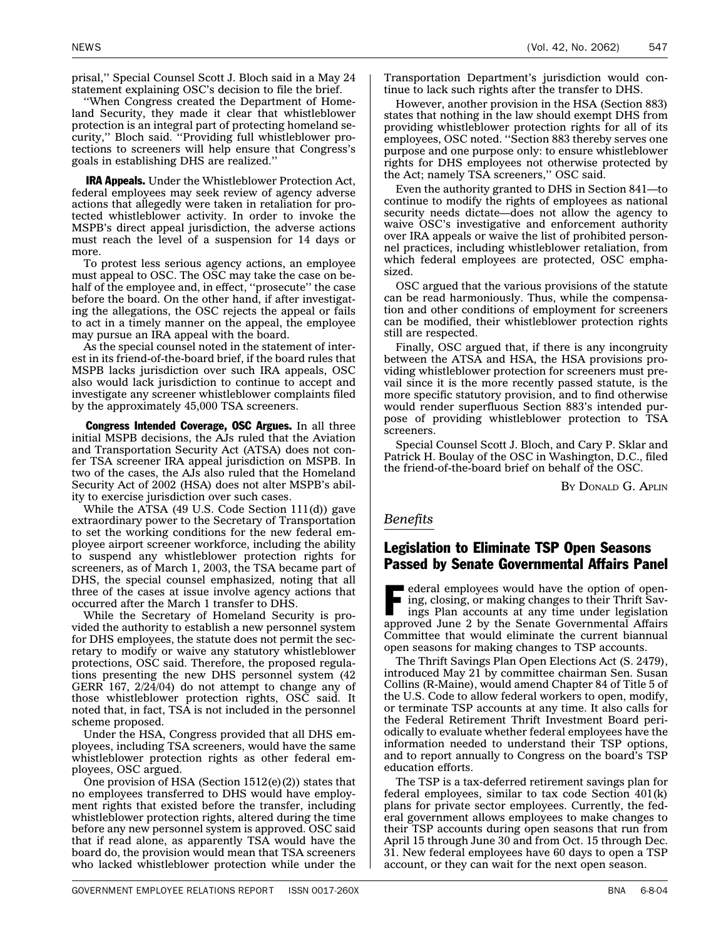<span id="page-10-0"></span>prisal,'' Special Counsel Scott J. Bloch said in a May 24 statement explaining OSC's decision to file the brief.

''When Congress created the Department of Homeland Security, they made it clear that whistleblower protection is an integral part of protecting homeland security,'' Bloch said. ''Providing full whistleblower protections to screeners will help ensure that Congress's goals in establishing DHS are realized.''

IRA Appeals. Under the Whistleblower Protection Act, federal employees may seek review of agency adverse actions that allegedly were taken in retaliation for protected whistleblower activity. In order to invoke the MSPB's direct appeal jurisdiction, the adverse actions must reach the level of a suspension for 14 days or more.

To protest less serious agency actions, an employee must appeal to OSC. The OSC may take the case on behalf of the employee and, in effect, ''prosecute'' the case before the board. On the other hand, if after investigating the allegations, the OSC rejects the appeal or fails to act in a timely manner on the appeal, the employee may pursue an IRA appeal with the board.

As the special counsel noted in the statement of interest in its friend-of-the-board brief, if the board rules that MSPB lacks jurisdiction over such IRA appeals, OSC also would lack jurisdiction to continue to accept and investigate any screener whistleblower complaints filed by the approximately 45,000 TSA screeners.

Congress Intended Coverage, OSC Argues. In all three initial MSPB decisions, the AJs ruled that the Aviation and Transportation Security Act (ATSA) does not confer TSA screener IRA appeal jurisdiction on MSPB. In two of the cases, the AJs also ruled that the Homeland Security Act of 2002 (HSA) does not alter MSPB's ability to exercise jurisdiction over such cases.

While the ATSA (49 U.S. Code Section 111(d)) gave extraordinary power to the Secretary of Transportation to set the working conditions for the new federal employee airport screener workforce, including the ability to suspend any whistleblower protection rights for screeners, as of March 1, 2003, the TSA became part of DHS, the special counsel emphasized, noting that all three of the cases at issue involve agency actions that occurred after the March 1 transfer to DHS.

While the Secretary of Homeland Security is provided the authority to establish a new personnel system for DHS employees, the statute does not permit the secretary to modify or waive any statutory whistleblower protections, OSC said. Therefore, the proposed regulations presenting the new DHS personnel system (42 GERR 167, 2/24/04) do not attempt to change any of those whistleblower protection rights, OSC said. It noted that, in fact, TSA is not included in the personnel scheme proposed.

Under the HSA, Congress provided that all DHS employees, including TSA screeners, would have the same whistleblower protection rights as other federal employees, OSC argued.

One provision of HSA (Section  $1512(e)(2)$ ) states that no employees transferred to DHS would have employment rights that existed before the transfer, including whistleblower protection rights, altered during the time before any new personnel system is approved. OSC said that if read alone, as apparently TSA would have the board do, the provision would mean that TSA screeners who lacked whistleblower protection while under the

Transportation Department's jurisdiction would continue to lack such rights after the transfer to DHS.

However, another provision in the HSA (Section 883) states that nothing in the law should exempt DHS from providing whistleblower protection rights for all of its employees, OSC noted. ''Section 883 thereby serves one purpose and one purpose only: to ensure whistleblower rights for DHS employees not otherwise protected by the Act; namely TSA screeners,'' OSC said.

Even the authority granted to DHS in Section 841—to continue to modify the rights of employees as national security needs dictate—does not allow the agency to waive OSC's investigative and enforcement authority over IRA appeals or waive the list of prohibited personnel practices, including whistleblower retaliation, from which federal employees are protected, OSC emphasized.

OSC argued that the various provisions of the statute can be read harmoniously. Thus, while the compensation and other conditions of employment for screeners can be modified, their whistleblower protection rights still are respected.

Finally, OSC argued that, if there is any incongruity between the ATSA and HSA, the HSA provisions providing whistleblower protection for screeners must prevail since it is the more recently passed statute, is the more specific statutory provision, and to find otherwise would render superfluous Section 883's intended purpose of providing whistleblower protection to TSA screeners.

Special Counsel Scott J. Bloch, and Cary P. Sklar and Patrick H. Boulay of the OSC in Washington, D.C., filed the friend-of-the-board brief on behalf of the OSC.

BY DONALD G. APLIN

#### *Benefits*

#### Legislation to Eliminate TSP Open Seasons Passed by Senate Governmental Affairs Panel

ederal employees would have the option of opening, closing, or making changes to their Thrift Savings Plan accounts at any time under legislation approved June 2 by the Senate Governmental Affairs Committee that would eliminate the current biannual open seasons for making changes to TSP accounts.

The Thrift Savings Plan Open Elections Act (S. 2479), introduced May 21 by committee chairman Sen. Susan Collins (R-Maine), would amend Chapter 84 of Title 5 of the U.S. Code to allow federal workers to open, modify, or terminate TSP accounts at any time. It also calls for the Federal Retirement Thrift Investment Board periodically to evaluate whether federal employees have the information needed to understand their TSP options, and to report annually to Congress on the board's TSP education efforts.

The TSP is a tax-deferred retirement savings plan for federal employees, similar to tax code Section 401(k) plans for private sector employees. Currently, the federal government allows employees to make changes to their TSP accounts during open seasons that run from April 15 through June 30 and from Oct. 15 through Dec. 31. New federal employees have 60 days to open a TSP account, or they can wait for the next open season.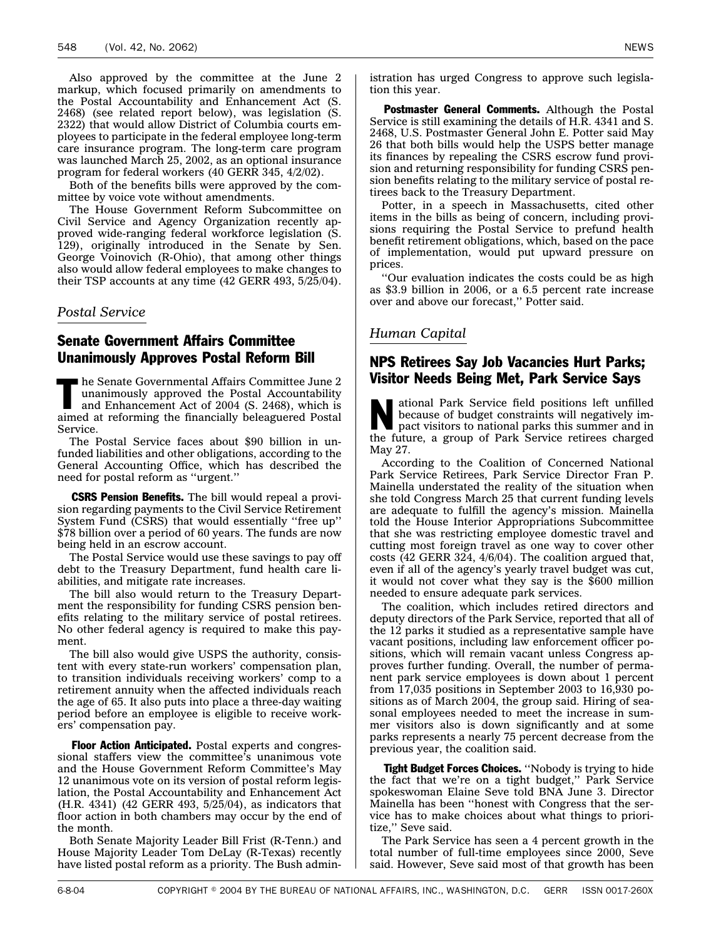<span id="page-11-0"></span>Also approved by the committee at the June 2 markup, which focused primarily on amendments to the Postal Accountability and Enhancement Act (S. 2468) (see related report below), was legislation (S. 2322) that would allow District of Columbia courts employees to participate in the federal employee long-term care insurance program. The long-term care program was launched March 25, 2002, as an optional insurance program for federal workers (40 GERR 345, 4/2/02).

Both of the benefits bills were approved by the committee by voice vote without amendments.

The House Government Reform Subcommittee on Civil Service and Agency Organization recently approved wide-ranging federal workforce legislation (S. 129), originally introduced in the Senate by Sen. George Voinovich (R-Ohio), that among other things also would allow federal employees to make changes to their TSP accounts at any time (42 GERR 493, 5/25/04).

*Postal Service*

#### Senate Government Affairs Committee Unanimously Approves Postal Reform Bill

 $\blacksquare$  he Senate Governmental Affairs Committee June 2 unanimously approved the Postal Accountability and Enhancement Act of 2004 (S. 2468), which is aimed at reforming the financially beleaguered Postal Service.

The Postal Service faces about \$90 billion in unfunded liabilities and other obligations, according to the General Accounting Office, which has described the need for postal reform as ''urgent.''

**CSRS Pension Benefits.** The bill would repeal a provision regarding payments to the Civil Service Retirement System Fund (CSRS) that would essentially ''free up'' \$78 billion over a period of 60 years. The funds are now being held in an escrow account.

The Postal Service would use these savings to pay off debt to the Treasury Department, fund health care liabilities, and mitigate rate increases.

The bill also would return to the Treasury Department the responsibility for funding CSRS pension benefits relating to the military service of postal retirees. No other federal agency is required to make this payment.

The bill also would give USPS the authority, consistent with every state-run workers' compensation plan, to transition individuals receiving workers' comp to a retirement annuity when the affected individuals reach the age of 65. It also puts into place a three-day waiting period before an employee is eligible to receive workers' compensation pay.

Floor Action Anticipated. Postal experts and congressional staffers view the committee's unanimous vote and the House Government Reform Committee's May 12 unanimous vote on its version of postal reform legislation, the Postal Accountability and Enhancement Act (H.R. 4341) (42 GERR 493, 5/25/04), as indicators that floor action in both chambers may occur by the end of the month.

Both Senate Majority Leader Bill Frist (R-Tenn.) and House Majority Leader Tom DeLay (R-Texas) recently have listed postal reform as a priority. The Bush administration has urged Congress to approve such legislation this year.

Postmaster General Comments. Although the Postal Service is still examining the details of H.R. 4341 and S. 2468, U.S. Postmaster General John E. Potter said May 26 that both bills would help the USPS better manage its finances by repealing the CSRS escrow fund provision and returning responsibility for funding CSRS pension benefits relating to the military service of postal retirees back to the Treasury Department.

Potter, in a speech in Massachusetts, cited other items in the bills as being of concern, including provisions requiring the Postal Service to prefund health benefit retirement obligations, which, based on the pace of implementation, would put upward pressure on prices.

''Our evaluation indicates the costs could be as high as \$3.9 billion in 2006, or a 6.5 percent rate increase over and above our forecast,'' Potter said.

#### *Human Capital*

#### NPS Retirees Say Job Vacancies Hurt Parks; Visitor Needs Being Met, Park Service Says

National Park Service field positions left unfilled<br>because of budget constraints will negatively im-<br>pact visitors to national parks this summer and in<br>the fitting because of budget constraints will negatively imthe future, a group of Park Service retirees charged May 27.

According to the Coalition of Concerned National Park Service Retirees, Park Service Director Fran P. Mainella understated the reality of the situation when she told Congress March 25 that current funding levels are adequate to fulfill the agency's mission. Mainella told the House Interior Appropriations Subcommittee that she was restricting employee domestic travel and cutting most foreign travel as one way to cover other costs (42 GERR 324, 4/6/04). The coalition argued that, even if all of the agency's yearly travel budget was cut, it would not cover what they say is the \$600 million needed to ensure adequate park services.

The coalition, which includes retired directors and deputy directors of the Park Service, reported that all of the 12 parks it studied as a representative sample have vacant positions, including law enforcement officer positions, which will remain vacant unless Congress approves further funding. Overall, the number of permanent park service employees is down about 1 percent from 17,035 positions in September 2003 to 16,930 positions as of March 2004, the group said. Hiring of seasonal employees needed to meet the increase in summer visitors also is down significantly and at some parks represents a nearly 75 percent decrease from the previous year, the coalition said.

Tight Budget Forces Choices. "Nobody is trying to hide the fact that we're on a tight budget,'' Park Service spokeswoman Elaine Seve told BNA June 3. Director Mainella has been ''honest with Congress that the service has to make choices about what things to prioritize,'' Seve said.

The Park Service has seen a 4 percent growth in the total number of full-time employees since 2000, Seve said. However, Seve said most of that growth has been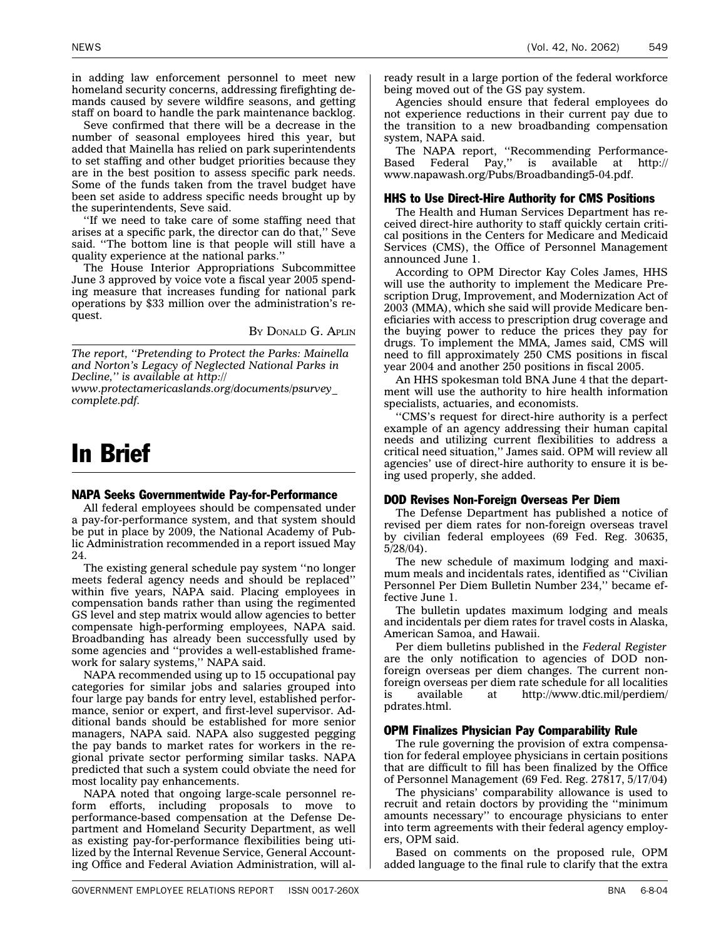<span id="page-12-0"></span>in adding law enforcement personnel to meet new homeland security concerns, addressing firefighting demands caused by severe wildfire seasons, and getting staff on board to handle the park maintenance backlog.

Seve confirmed that there will be a decrease in the number of seasonal employees hired this year, but added that Mainella has relied on park superintendents to set staffing and other budget priorities because they are in the best position to assess specific park needs. Some of the funds taken from the travel budget have been set aside to address specific needs brought up by the superintendents, Seve said.

''If we need to take care of some staffing need that arises at a specific park, the director can do that,'' Seve said. ''The bottom line is that people will still have a quality experience at the national parks.''

The House Interior Appropriations Subcommittee June 3 approved by voice vote a fiscal year 2005 spending measure that increases funding for national park operations by \$33 million over the administration's request.

BY DONALD G. APLIN

*The report, ''Pretending to Protect the Parks: Mainella and Norton's Legacy of Neglected National Parks in Decline,'' is available at http://*

*www.protectamericaslands.org/documents/psurvey\_ complete.pdf.*

### In Brief

#### NAPA Seeks Governmentwide Pay-for-Performance

All federal employees should be compensated under a pay-for-performance system, and that system should be put in place by 2009, the National Academy of Public Administration recommended in a report issued May 24.

The existing general schedule pay system ''no longer meets federal agency needs and should be replaced'' within five years, NAPA said. Placing employees in compensation bands rather than using the regimented GS level and step matrix would allow agencies to better compensate high-performing employees, NAPA said. Broadbanding has already been successfully used by some agencies and ''provides a well-established framework for salary systems,'' NAPA said.

NAPA recommended using up to 15 occupational pay categories for similar jobs and salaries grouped into four large pay bands for entry level, established performance, senior or expert, and first-level supervisor. Additional bands should be established for more senior managers, NAPA said. NAPA also suggested pegging the pay bands to market rates for workers in the regional private sector performing similar tasks. NAPA predicted that such a system could obviate the need for most locality pay enhancements.

NAPA noted that ongoing large-scale personnel reform efforts, including proposals to move to performance-based compensation at the Defense Department and Homeland Security Department, as well as existing pay-for-performance flexibilities being utilized by the Internal Revenue Service, General Accounting Office and Federal Aviation Administration, will al-

ready result in a large portion of the federal workforce being moved out of the GS pay system.

Agencies should ensure that federal employees do not experience reductions in their current pay due to the transition to a new broadbanding compensation system, NAPA said.

The NAPA report, ''Recommending Performance-Based Federal Pay,'' is available at http:// www.napawash.org/Pubs/Broadbanding5-04.pdf.

#### HHS to Use Direct-Hire Authority for CMS Positions

The Health and Human Services Department has received direct-hire authority to staff quickly certain critical positions in the Centers for Medicare and Medicaid Services (CMS), the Office of Personnel Management announced June 1.

According to OPM Director Kay Coles James, HHS will use the authority to implement the Medicare Prescription Drug, Improvement, and Modernization Act of 2003 (MMA), which she said will provide Medicare beneficiaries with access to prescription drug coverage and the buying power to reduce the prices they pay for drugs. To implement the MMA, James said, CMS will need to fill approximately 250 CMS positions in fiscal year 2004 and another 250 positions in fiscal 2005.

An HHS spokesman told BNA June 4 that the department will use the authority to hire health information specialists, actuaries, and economists.

''CMS's request for direct-hire authority is a perfect example of an agency addressing their human capital needs and utilizing current flexibilities to address a critical need situation,'' James said. OPM will review all agencies' use of direct-hire authority to ensure it is being used properly, she added.

#### DOD Revises Non-Foreign Overseas Per Diem

The Defense Department has published a notice of revised per diem rates for non-foreign overseas travel by civilian federal employees (69 Fed. Reg. 30635, 5/28/04).

The new schedule of maximum lodging and maximum meals and incidentals rates, identified as ''Civilian Personnel Per Diem Bulletin Number 234,'' became effective June 1.

The bulletin updates maximum lodging and meals and incidentals per diem rates for travel costs in Alaska, American Samoa, and Hawaii.

Per diem bulletins published in the *Federal Register* are the only notification to agencies of DOD nonforeign overseas per diem changes. The current nonforeign overseas per diem rate schedule for all localities is available at http://www.dtic.mil/perdiem/ pdrates.html.

#### OPM Finalizes Physician Pay Comparability Rule

The rule governing the provision of extra compensation for federal employee physicians in certain positions that are difficult to fill has been finalized by the Office of Personnel Management (69 Fed. Reg. 27817, 5/17/04)

The physicians' comparability allowance is used to recruit and retain doctors by providing the ''minimum amounts necessary'' to encourage physicians to enter into term agreements with their federal agency employers, OPM said.

Based on comments on the proposed rule, OPM added language to the final rule to clarify that the extra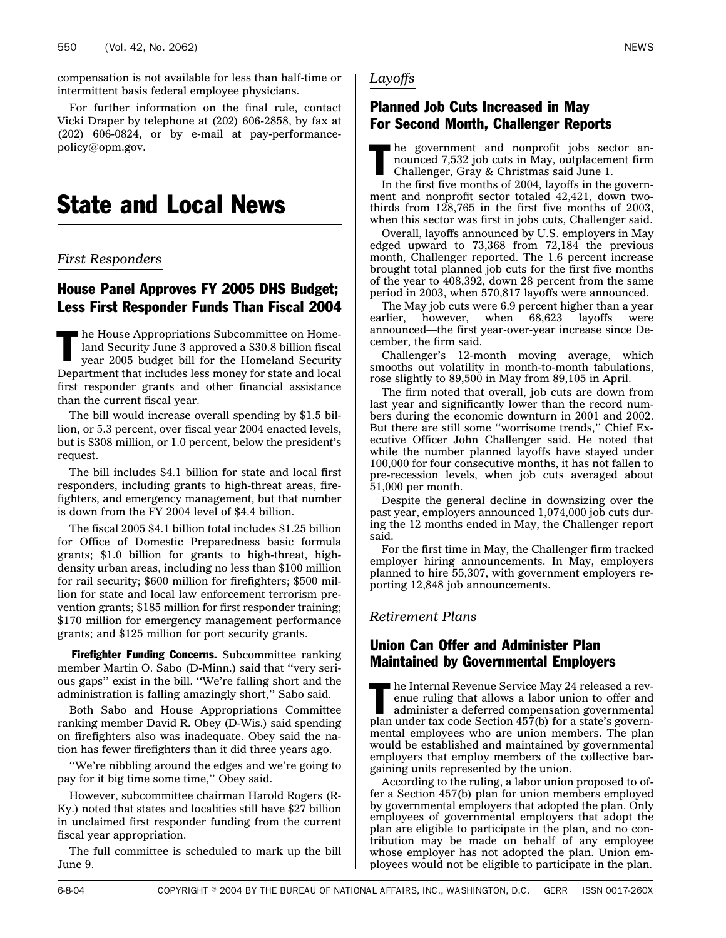<span id="page-13-0"></span>compensation is not available for less than half-time or intermittent basis federal employee physicians.

For further information on the final rule, contact Vicki Draper by telephone at (202) 606-2858, by fax at (202) 606-0824, or by e-mail at pay-performancepolicy@opm.gov.

### State and Local News

#### *First Responders*

#### House Panel Approves FY 2005 DHS Budget; Less First Responder Funds Than Fiscal 2004

In the House Appropriations Subcommittee on Home-<br>land Security June 3 approved a \$30.8 billion fiscal<br>year 2005 budget bill for the Homeland Security land Security June 3 approved a \$30.8 billion fiscal year 2005 budget bill for the Homeland Security Department that includes less money for state and local first responder grants and other financial assistance than the current fiscal year.

The bill would increase overall spending by \$1.5 billion, or 5.3 percent, over fiscal year 2004 enacted levels, but is \$308 million, or 1.0 percent, below the president's request.

The bill includes \$4.1 billion for state and local first responders, including grants to high-threat areas, firefighters, and emergency management, but that number is down from the FY 2004 level of \$4.4 billion.

The fiscal 2005 \$4.1 billion total includes \$1.25 billion for Office of Domestic Preparedness basic formula grants; \$1.0 billion for grants to high-threat, highdensity urban areas, including no less than \$100 million for rail security; \$600 million for firefighters; \$500 million for state and local law enforcement terrorism prevention grants; \$185 million for first responder training; \$170 million for emergency management performance grants; and \$125 million for port security grants.

**Firefighter Funding Concerns.** Subcommittee ranking member Martin O. Sabo (D-Minn.) said that ''very serious gaps'' exist in the bill. ''We're falling short and the administration is falling amazingly short,'' Sabo said.

Both Sabo and House Appropriations Committee ranking member David R. Obey (D-Wis.) said spending on firefighters also was inadequate. Obey said the nation has fewer firefighters than it did three years ago.

''We're nibbling around the edges and we're going to pay for it big time some time,'' Obey said.

However, subcommittee chairman Harold Rogers (R-Ky.) noted that states and localities still have \$27 billion in unclaimed first responder funding from the current fiscal year appropriation.

The full committee is scheduled to mark up the bill June 9.

#### Planned Job Cuts Increased in May For Second Month, Challenger Reports

 $\blacksquare$  he government and nonprofit jobs sector announced 7,532 job cuts in May, outplacement firm Challenger, Gray & Christmas said June 1.

In the first five months of 2004, layoffs in the government and nonprofit sector totaled 42,421, down twothirds from 128,765 in the first five months of 2003, when this sector was first in jobs cuts, Challenger said.

Overall, layoffs announced by U.S. employers in May edged upward to 73,368 from 72,184 the previous month, Challenger reported. The 1.6 percent increase brought total planned job cuts for the first five months of the year to 408,392, down 28 percent from the same period in 2003, when 570,817 layoffs were announced.

The May job cuts were 6.9 percent higher than a year earlier, however, when 68,623 layoffs were announced—the first year-over-year increase since December, the firm said.

Challenger's 12-month moving average, which smooths out volatility in month-to-month tabulations, rose slightly to 89,500 in May from 89,105 in April.

The firm noted that overall, job cuts are down from last year and significantly lower than the record numbers during the economic downturn in 2001 and 2002. But there are still some ''worrisome trends,'' Chief Executive Officer John Challenger said. He noted that while the number planned layoffs have stayed under 100,000 for four consecutive months, it has not fallen to pre-recession levels, when job cuts averaged about 51,000 per month.

Despite the general decline in downsizing over the past year, employers announced 1,074,000 job cuts during the 12 months ended in May, the Challenger report said.

For the first time in May, the Challenger firm tracked employer hiring announcements. In May, employers planned to hire 55,307, with government employers reporting 12,848 job announcements.

#### *Retirement Plans*

#### Union Can Offer and Administer Plan Maintained by Governmental Employers

The Internal Revenue Service May 24 released a rev-<br>enue ruling that allows a labor union to offer and<br>administer a deferred compensation governmental<br>plan under under the 72b for a factor enue ruling that allows a labor union to offer and administer a deferred compensation governmental plan under tax code Section 457(b) for a state's governmental employees who are union members. The plan would be established and maintained by governmental employers that employ members of the collective bargaining units represented by the union.

According to the ruling, a labor union proposed to offer a Section 457(b) plan for union members employed by governmental employers that adopted the plan. Only employees of governmental employers that adopt the plan are eligible to participate in the plan, and no contribution may be made on behalf of any employee whose employer has not adopted the plan. Union employees would not be eligible to participate in the plan.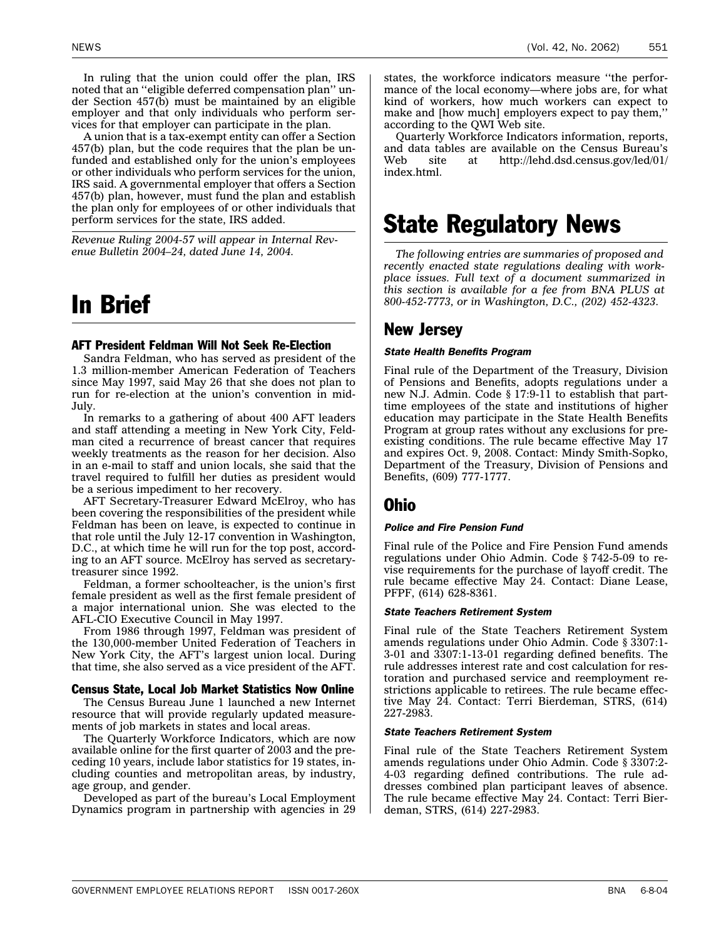<span id="page-14-0"></span>A union that is a tax-exempt entity can offer a Section 457(b) plan, but the code requires that the plan be unfunded and established only for the union's employees or other individuals who perform services for the union, IRS said. A governmental employer that offers a Section 457(b) plan, however, must fund the plan and establish the plan only for employees of or other individuals that perform services for the state, IRS added.

*Revenue Ruling 2004-57 will appear in Internal Revenue Bulletin 2004–24, dated June 14, 2004.*

### In Brief

#### AFT President Feldman Will Not Seek Re-Election

Sandra Feldman, who has served as president of the 1.3 million-member American Federation of Teachers since May 1997, said May 26 that she does not plan to run for re-election at the union's convention in mid-July.

In remarks to a gathering of about 400 AFT leaders and staff attending a meeting in New York City, Feldman cited a recurrence of breast cancer that requires weekly treatments as the reason for her decision. Also in an e-mail to staff and union locals, she said that the travel required to fulfill her duties as president would be a serious impediment to her recovery.

AFT Secretary-Treasurer Edward McElroy, who has been covering the responsibilities of the president while Feldman has been on leave, is expected to continue in that role until the July 12-17 convention in Washington, D.C., at which time he will run for the top post, according to an AFT source. McElroy has served as secretarytreasurer since 1992.

Feldman, a former schoolteacher, is the union's first female president as well as the first female president of a major international union. She was elected to the AFL-CIO Executive Council in May 1997.

From 1986 through 1997, Feldman was president of the 130,000-member United Federation of Teachers in New York City, the AFT's largest union local. During that time, she also served as a vice president of the AFT.

#### Census State, Local Job Market Statistics Now Online

The Census Bureau June 1 launched a new Internet resource that will provide regularly updated measurements of job markets in states and local areas.

The Quarterly Workforce Indicators, which are now available online for the first quarter of 2003 and the preceding 10 years, include labor statistics for 19 states, including counties and metropolitan areas, by industry, age group, and gender.

Developed as part of the bureau's Local Employment Dynamics program in partnership with agencies in 29 states, the workforce indicators measure ''the performance of the local economy—where jobs are, for what kind of workers, how much workers can expect to make and [how much] employers expect to pay them,'' according to the QWI Web site.

Quarterly Workforce Indicators information, reports, and data tables are available on the Census Bureau's Web site at http://lehd.dsd.census.gov/led/01/ index.html.

### State Regulatory News

*The following entries are summaries of proposed and recently enacted state regulations dealing with workplace issues. Full text of a document summarized in this section is available for a fee from BNA PLUS at 800-452-7773, or in Washington, D.C., (202) 452-4323.*

#### New Jersey

#### *State Health Benefits Program*

Final rule of the Department of the Treasury, Division of Pensions and Benefits, adopts regulations under a new N.J. Admin. Code § 17:9-11 to establish that parttime employees of the state and institutions of higher education may participate in the State Health Benefits Program at group rates without any exclusions for preexisting conditions. The rule became effective May 17 and expires Oct. 9, 2008. Contact: Mindy Smith-Sopko, Department of the Treasury, Division of Pensions and Benefits, (609) 777-1777.

#### Ohio

#### *Police and Fire Pension Fund*

Final rule of the Police and Fire Pension Fund amends regulations under Ohio Admin. Code § 742-5-09 to revise requirements for the purchase of layoff credit. The rule became effective May 24. Contact: Diane Lease, PFPF, (614) 628-8361.

#### *State Teachers Retirement System*

Final rule of the State Teachers Retirement System amends regulations under Ohio Admin. Code § 3307:1- 3-01 and 3307:1-13-01 regarding defined benefits. The rule addresses interest rate and cost calculation for restoration and purchased service and reemployment restrictions applicable to retirees. The rule became effective May 24. Contact: Terri Bierdeman, STRS, (614) 227-2983.

#### *State Teachers Retirement System*

Final rule of the State Teachers Retirement System amends regulations under Ohio Admin. Code § 3307:2- 4-03 regarding defined contributions. The rule addresses combined plan participant leaves of absence. The rule became effective May 24. Contact: Terri Bierdeman, STRS, (614) 227-2983.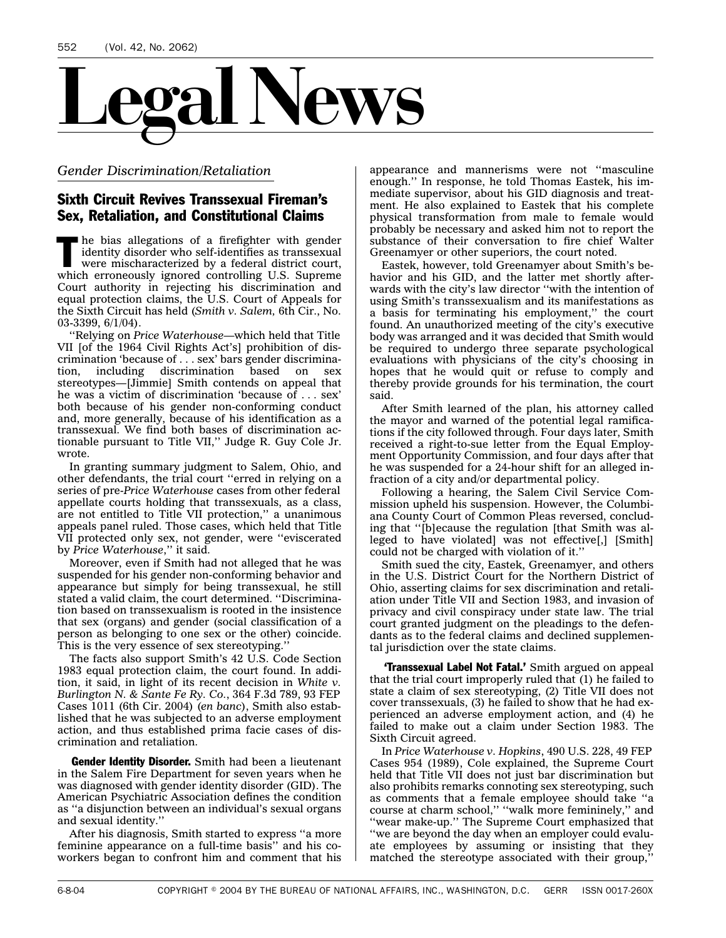<span id="page-15-0"></span>

*Gender Discrimination/Retaliation*

#### Sixth Circuit Revives Transsexual Fireman's Sex, Retaliation, and Constitutional Claims

 $\blacksquare$  he bias allegations of a firefighter with gender identity disorder who self-identifies as transsexual were mischaracterized by a federal district court, which erroneously ignored controlling U.S. Supreme Court authority in rejecting his discrimination and equal protection claims, the U.S. Court of Appeals for the Sixth Circuit has held (*Smith v. Salem,* 6th Cir., No. 03-3399, 6/1/04).

''Relying on *Price Waterhouse*—which held that Title VII [of the 1964 Civil Rights Act's] prohibition of discrimination 'because of . . . sex' bars gender discrimination, including discrimination based on sex stereotypes—[Jimmie] Smith contends on appeal that he was a victim of discrimination 'because of . . . sex' both because of his gender non-conforming conduct and, more generally, because of his identification as a transsexual. We find both bases of discrimination actionable pursuant to Title VII,'' Judge R. Guy Cole Jr. wrote.

In granting summary judgment to Salem, Ohio, and other defendants, the trial court ''erred in relying on a series of pre-*Price Waterhouse* cases from other federal appellate courts holding that transsexuals, as a class, are not entitled to Title VII protection,'' a unanimous appeals panel ruled. Those cases, which held that Title VII protected only sex, not gender, were ''eviscerated by *Price Waterhouse*,'' it said.

Moreover, even if Smith had not alleged that he was suspended for his gender non-conforming behavior and appearance but simply for being transsexual, he still stated a valid claim, the court determined. ''Discrimination based on transsexualism is rooted in the insistence that sex (organs) and gender (social classification of a person as belonging to one sex or the other) coincide. This is the very essence of sex stereotyping.''

The facts also support Smith's 42 U.S. Code Section 1983 equal protection claim, the court found. In addition, it said, in light of its recent decision in *White v. Burlington N. & Sante Fe Ry. Co.*, 364 F.3d 789, 93 FEP Cases 1011 (6th Cir. 2004) (*en banc*), Smith also established that he was subjected to an adverse employment action, and thus established prima facie cases of discrimination and retaliation.

Gender Identity Disorder. Smith had been a lieutenant in the Salem Fire Department for seven years when he was diagnosed with gender identity disorder (GID). The American Psychiatric Association defines the condition as ''a disjunction between an individual's sexual organs and sexual identity.''

After his diagnosis, Smith started to express ''a more feminine appearance on a full-time basis'' and his coworkers began to confront him and comment that his

appearance and mannerisms were not ''masculine enough.'' In response, he told Thomas Eastek, his immediate supervisor, about his GID diagnosis and treatment. He also explained to Eastek that his complete physical transformation from male to female would probably be necessary and asked him not to report the substance of their conversation to fire chief Walter Greenamyer or other superiors, the court noted.

Eastek, however, told Greenamyer about Smith's behavior and his GID, and the latter met shortly afterwards with the city's law director ''with the intention of using Smith's transsexualism and its manifestations as a basis for terminating his employment,'' the court found. An unauthorized meeting of the city's executive body was arranged and it was decided that Smith would be required to undergo three separate psychological evaluations with physicians of the city's choosing in hopes that he would quit or refuse to comply and thereby provide grounds for his termination, the court said.

After Smith learned of the plan, his attorney called the mayor and warned of the potential legal ramifications if the city followed through. Four days later, Smith received a right-to-sue letter from the Equal Employment Opportunity Commission, and four days after that he was suspended for a 24-hour shift for an alleged infraction of a city and/or departmental policy.

Following a hearing, the Salem Civil Service Commission upheld his suspension. However, the Columbiana County Court of Common Pleas reversed, concluding that ''[b]ecause the regulation [that Smith was alleged to have violated] was not effective[,] [Smith] could not be charged with violation of it.''

Smith sued the city, Eastek, Greenamyer, and others in the U.S. District Court for the Northern District of Ohio, asserting claims for sex discrimination and retaliation under Title VII and Section 1983, and invasion of privacy and civil conspiracy under state law. The trial court granted judgment on the pleadings to the defendants as to the federal claims and declined supplemental jurisdiction over the state claims.

**Transsexual Label Not Fatal.'** Smith argued on appeal that the trial court improperly ruled that (1) he failed to state a claim of sex stereotyping, (2) Title VII does not cover transsexuals, (3) he failed to show that he had experienced an adverse employment action, and (4) he failed to make out a claim under Section 1983. The Sixth Circuit agreed.

In *Price Waterhouse v. Hopkins*, 490 U.S. 228, 49 FEP Cases 954 (1989), Cole explained, the Supreme Court held that Title VII does not just bar discrimination but also prohibits remarks connoting sex stereotyping, such as comments that a female employee should take ''a course at charm school,'' ''walk more femininely,'' and ''wear make-up.'' The Supreme Court emphasized that ''we are beyond the day when an employer could evaluate employees by assuming or insisting that they matched the stereotype associated with their group,''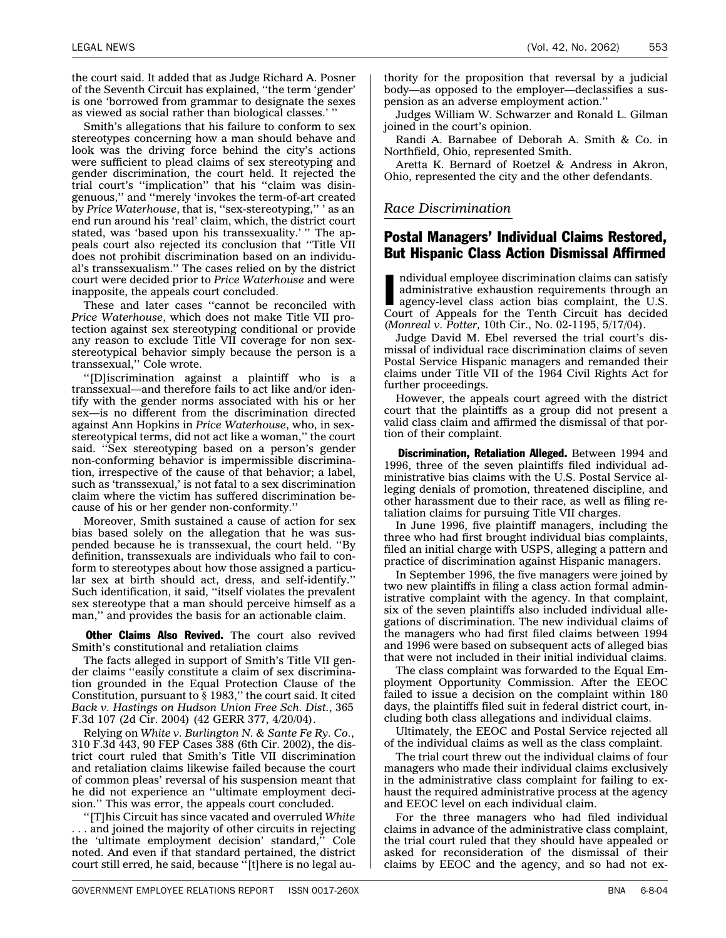<span id="page-16-0"></span>LEGAL NEWS (Vol. 42, No. 2062) 553

the court said. It added that as Judge Richard A. Posner of the Seventh Circuit has explained, ''the term 'gender' is one 'borrowed from grammar to designate the sexes as viewed as social rather than biological classes.' ''

Smith's allegations that his failure to conform to sex stereotypes concerning how a man should behave and look was the driving force behind the city's actions were sufficient to plead claims of sex stereotyping and gender discrimination, the court held. It rejected the trial court's ''implication'' that his ''claim was disingenuous,'' and ''merely 'invokes the term-of-art created by *Price Waterhouse*, that is, ''sex-stereotyping,'' ' as an end run around his 'real' claim, which, the district court stated, was 'based upon his transsexuality.' " The appeals court also rejected its conclusion that ''Title VII does not prohibit discrimination based on an individual's transsexualism.'' The cases relied on by the district court were decided prior to *Price Waterhouse* and were inapposite, the appeals court concluded.

These and later cases ''cannot be reconciled with *Price Waterhouse*, which does not make Title VII protection against sex stereotyping conditional or provide any reason to exclude Title VII coverage for non sexstereotypical behavior simply because the person is a transsexual,'' Cole wrote.

''[D]iscrimination against a plaintiff who is a transsexual—and therefore fails to act like and/or identify with the gender norms associated with his or her sex—is no different from the discrimination directed against Ann Hopkins in *Price Waterhouse*, who, in sexstereotypical terms, did not act like a woman,'' the court said. ''Sex stereotyping based on a person's gender non-conforming behavior is impermissible discrimination, irrespective of the cause of that behavior; a label, such as 'transsexual,' is not fatal to a sex discrimination claim where the victim has suffered discrimination because of his or her gender non-conformity.''

Moreover, Smith sustained a cause of action for sex bias based solely on the allegation that he was suspended because he is transsexual, the court held. ''By definition, transsexuals are individuals who fail to conform to stereotypes about how those assigned a particular sex at birth should act, dress, and self-identify.'' Such identification, it said, ''itself violates the prevalent sex stereotype that a man should perceive himself as a man,'' and provides the basis for an actionable claim.

Other Claims Also Revived. The court also revived Smith's constitutional and retaliation claims

The facts alleged in support of Smith's Title VII gender claims ''easily constitute a claim of sex discrimination grounded in the Equal Protection Clause of the Constitution, pursuant to § 1983,'' the court said. It cited *Back v. Hastings on Hudson Union Free Sch. Dist.*, 365 F.3d 107 (2d Cir. 2004) (42 GERR 377, 4/20/04).

Relying on *White v. Burlington N. & Sante Fe Ry. Co.*, 310 F.3d 443, 90 FEP Cases 388 (6th Cir. 2002), the district court ruled that Smith's Title VII discrimination and retaliation claims likewise failed because the court of common pleas' reversal of his suspension meant that he did not experience an ''ultimate employment decision.'' This was error, the appeals court concluded.

''[T]his Circuit has since vacated and overruled *White* . . . and joined the majority of other circuits in rejecting the 'ultimate employment decision' standard,'' Cole noted. And even if that standard pertained, the district court still erred, he said, because ''[t]here is no legal authority for the proposition that reversal by a judicial body—as opposed to the employer—declassifies a suspension as an adverse employment action.''

Judges William W. Schwarzer and Ronald L. Gilman joined in the court's opinion.

Randi A. Barnabee of Deborah A. Smith & Co. in Northfield, Ohio, represented Smith.

Aretta K. Bernard of Roetzel & Andress in Akron, Ohio, represented the city and the other defendants.

#### *Race Discrimination*

#### Postal Managers' Individual Claims Restored, But Hispanic Class Action Dismissal Affirmed

Individual employee discrimination claims can satisfy administrative exhaustion requirements through an agency-level class action bias complaint, the U.S.<br>Court of Appeals for the Tenth Circuit has decided ndividual employee discrimination claims can satisfy administrative exhaustion requirements through an agency-level class action bias complaint, the U.S. (*Monreal v. Potter,* 10th Cir., No. 02-1195, 5/17/04).

Judge David M. Ebel reversed the trial court's dismissal of individual race discrimination claims of seven Postal Service Hispanic managers and remanded their claims under Title VII of the 1964 Civil Rights Act for further proceedings.

However, the appeals court agreed with the district court that the plaintiffs as a group did not present a valid class claim and affirmed the dismissal of that portion of their complaint.

Discrimination, Retaliation Alleged. Between 1994 and 1996, three of the seven plaintiffs filed individual administrative bias claims with the U.S. Postal Service alleging denials of promotion, threatened discipline, and other harassment due to their race, as well as filing retaliation claims for pursuing Title VII charges.

In June 1996, five plaintiff managers, including the three who had first brought individual bias complaints, filed an initial charge with USPS, alleging a pattern and practice of discrimination against Hispanic managers.

In September 1996, the five managers were joined by two new plaintiffs in filing a class action formal administrative complaint with the agency. In that complaint, six of the seven plaintiffs also included individual allegations of discrimination. The new individual claims of the managers who had first filed claims between 1994 and 1996 were based on subsequent acts of alleged bias that were not included in their initial individual claims.

The class complaint was forwarded to the Equal Employment Opportunity Commission. After the EEOC failed to issue a decision on the complaint within 180 days, the plaintiffs filed suit in federal district court, including both class allegations and individual claims.

Ultimately, the EEOC and Postal Service rejected all of the individual claims as well as the class complaint.

The trial court threw out the individual claims of four managers who made their individual claims exclusively in the administrative class complaint for failing to exhaust the required administrative process at the agency and EEOC level on each individual claim.

For the three managers who had filed individual claims in advance of the administrative class complaint, the trial court ruled that they should have appealed or asked for reconsideration of the dismissal of their claims by EEOC and the agency, and so had not ex-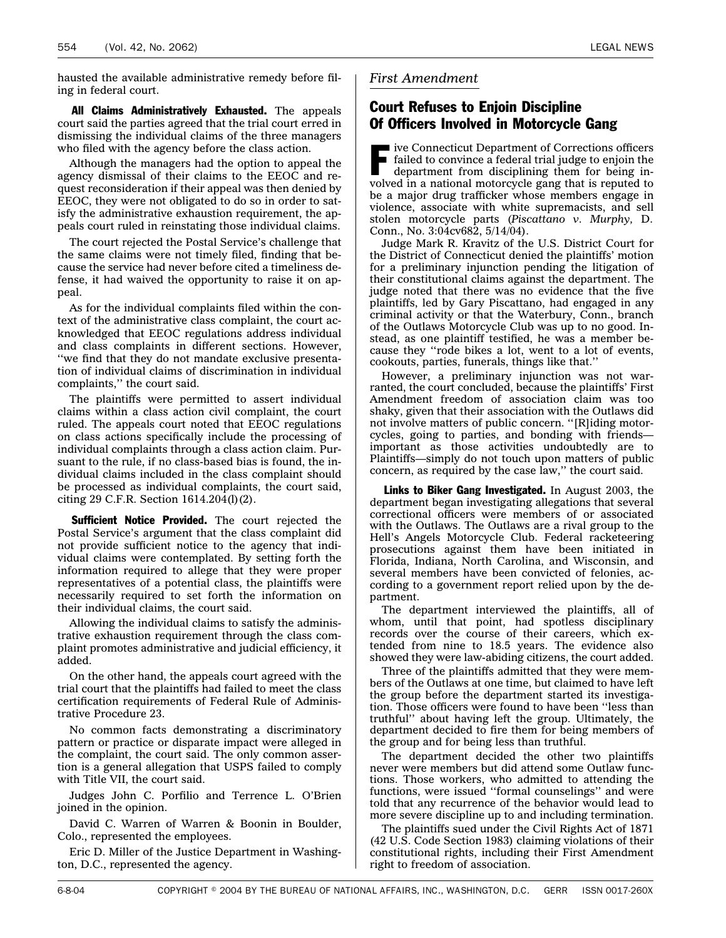<span id="page-17-0"></span>All Claims Administratively Exhausted. The appeals court said the parties agreed that the trial court erred in dismissing the individual claims of the three managers who filed with the agency before the class action.

Although the managers had the option to appeal the agency dismissal of their claims to the EEOC and request reconsideration if their appeal was then denied by EEOC, they were not obligated to do so in order to satisfy the administrative exhaustion requirement, the appeals court ruled in reinstating those individual claims.

The court rejected the Postal Service's challenge that the same claims were not timely filed, finding that because the service had never before cited a timeliness defense, it had waived the opportunity to raise it on appeal.

As for the individual complaints filed within the context of the administrative class complaint, the court acknowledged that EEOC regulations address individual and class complaints in different sections. However, ''we find that they do not mandate exclusive presentation of individual claims of discrimination in individual complaints,'' the court said.

The plaintiffs were permitted to assert individual claims within a class action civil complaint, the court ruled. The appeals court noted that EEOC regulations on class actions specifically include the processing of individual complaints through a class action claim. Pursuant to the rule, if no class-based bias is found, the individual claims included in the class complaint should be processed as individual complaints, the court said, citing 29 C.F.R. Section 1614.204(l)(2).

Sufficient Notice Provided. The court rejected the Postal Service's argument that the class complaint did not provide sufficient notice to the agency that individual claims were contemplated. By setting forth the information required to allege that they were proper representatives of a potential class, the plaintiffs were necessarily required to set forth the information on their individual claims, the court said.

Allowing the individual claims to satisfy the administrative exhaustion requirement through the class complaint promotes administrative and judicial efficiency, it added.

On the other hand, the appeals court agreed with the trial court that the plaintiffs had failed to meet the class certification requirements of Federal Rule of Administrative Procedure 23.

No common facts demonstrating a discriminatory pattern or practice or disparate impact were alleged in the complaint, the court said. The only common assertion is a general allegation that USPS failed to comply with Title VII, the court said.

Judges John C. Porfilio and Terrence L. O'Brien joined in the opinion.

David C. Warren of Warren & Boonin in Boulder, Colo., represented the employees.

Eric D. Miller of the Justice Department in Washington, D.C., represented the agency.

#### *First Amendment*

#### Court Refuses to Enjoin Discipline Of Officers Involved in Motorcycle Gang

Five Connecticut Department of Corrections officers<br>
failed to convince a federal trial judge to enjoin the<br>
department from disciplining them for being infailed to convince a federal trial judge to enjoin the department from disciplining them for being involved in a national motorcycle gang that is reputed to be a major drug trafficker whose members engage in violence, associate with white supremacists, and sell stolen motorcycle parts (*Piscattano v. Murphy,* D. Conn., No. 3:04cv682, 5/14/04).

Judge Mark R. Kravitz of the U.S. District Court for the District of Connecticut denied the plaintiffs' motion for a preliminary injunction pending the litigation of their constitutional claims against the department. The judge noted that there was no evidence that the five plaintiffs, led by Gary Piscattano, had engaged in any criminal activity or that the Waterbury, Conn., branch of the Outlaws Motorcycle Club was up to no good. Instead, as one plaintiff testified, he was a member because they ''rode bikes a lot, went to a lot of events, cookouts, parties, funerals, things like that.''

However, a preliminary injunction was not warranted, the court concluded, because the plaintiffs' First Amendment freedom of association claim was too shaky, given that their association with the Outlaws did not involve matters of public concern. ''[R]iding motorcycles, going to parties, and bonding with friends important as those activities undoubtedly are to Plaintiffs—simply do not touch upon matters of public concern, as required by the case law,'' the court said.

Links to Biker Gang Investigated. In August 2003, the department began investigating allegations that several correctional officers were members of or associated with the Outlaws. The Outlaws are a rival group to the Hell's Angels Motorcycle Club. Federal racketeering prosecutions against them have been initiated in Florida, Indiana, North Carolina, and Wisconsin, and several members have been convicted of felonies, according to a government report relied upon by the department.

The department interviewed the plaintiffs, all of whom, until that point, had spotless disciplinary records over the course of their careers, which extended from nine to 18.5 years. The evidence also showed they were law-abiding citizens, the court added.

Three of the plaintiffs admitted that they were members of the Outlaws at one time, but claimed to have left the group before the department started its investigation. Those officers were found to have been ''less than truthful'' about having left the group. Ultimately, the department decided to fire them for being members of the group and for being less than truthful.

The department decided the other two plaintiffs never were members but did attend some Outlaw functions. Those workers, who admitted to attending the functions, were issued ''formal counselings'' and were told that any recurrence of the behavior would lead to more severe discipline up to and including termination.

The plaintiffs sued under the Civil Rights Act of 1871 (42 U.S. Code Section 1983) claiming violations of their constitutional rights, including their First Amendment right to freedom of association.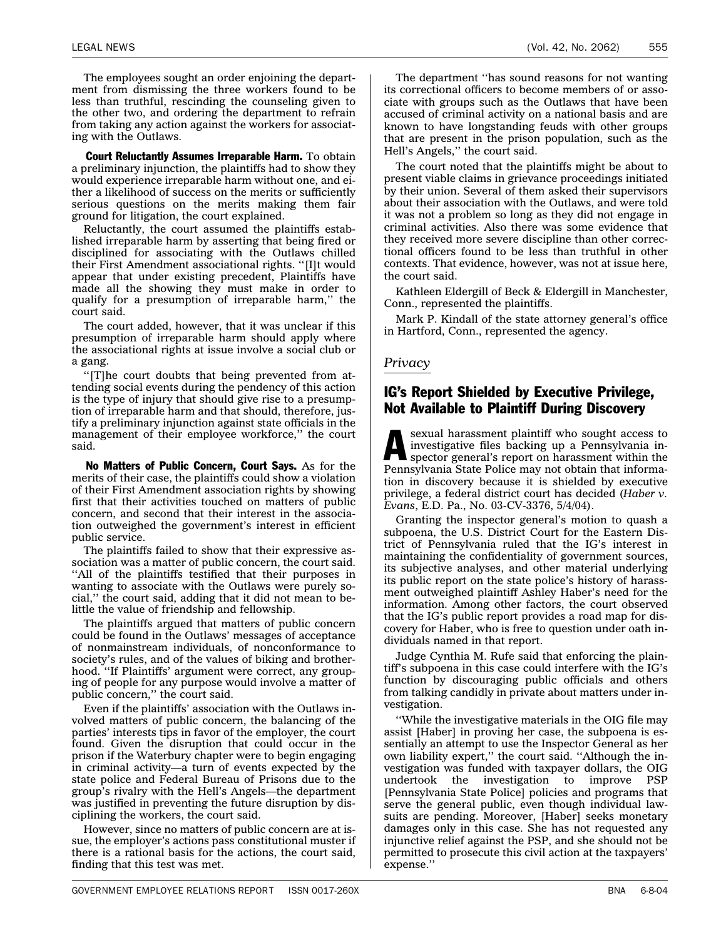<span id="page-18-0"></span>The employees sought an order enjoining the department from dismissing the three workers found to be less than truthful, rescinding the counseling given to the other two, and ordering the department to refrain from taking any action against the workers for associating with the Outlaws.

Court Reluctantly Assumes Irreparable Harm. To obtain a preliminary injunction, the plaintiffs had to show they would experience irreparable harm without one, and either a likelihood of success on the merits or sufficiently serious questions on the merits making them fair ground for litigation, the court explained.

Reluctantly, the court assumed the plaintiffs established irreparable harm by asserting that being fired or disciplined for associating with the Outlaws chilled their First Amendment associational rights. ''[I]t would appear that under existing precedent, Plaintiffs have made all the showing they must make in order to qualify for a presumption of irreparable harm,'' the court said.

The court added, however, that it was unclear if this presumption of irreparable harm should apply where the associational rights at issue involve a social club or a gang.

''[T]he court doubts that being prevented from attending social events during the pendency of this action is the type of injury that should give rise to a presumption of irreparable harm and that should, therefore, justify a preliminary injunction against state officials in the management of their employee workforce,'' the court said.

No Matters of Public Concern, Court Says. As for the merits of their case, the plaintiffs could show a violation of their First Amendment association rights by showing first that their activities touched on matters of public concern, and second that their interest in the association outweighed the government's interest in efficient public service.

The plaintiffs failed to show that their expressive association was a matter of public concern, the court said. ''All of the plaintiffs testified that their purposes in wanting to associate with the Outlaws were purely social,'' the court said, adding that it did not mean to belittle the value of friendship and fellowship.

The plaintiffs argued that matters of public concern could be found in the Outlaws' messages of acceptance of nonmainstream individuals, of nonconformance to society's rules, and of the values of biking and brotherhood. ''If Plaintiffs' argument were correct, any grouping of people for any purpose would involve a matter of public concern,'' the court said.

Even if the plaintiffs' association with the Outlaws involved matters of public concern, the balancing of the parties' interests tips in favor of the employer, the court found. Given the disruption that could occur in the prison if the Waterbury chapter were to begin engaging in criminal activity—a turn of events expected by the state police and Federal Bureau of Prisons due to the group's rivalry with the Hell's Angels—the department was justified in preventing the future disruption by disciplining the workers, the court said.

However, since no matters of public concern are at issue, the employer's actions pass constitutional muster if there is a rational basis for the actions, the court said, finding that this test was met.

The department ''has sound reasons for not wanting its correctional officers to become members of or associate with groups such as the Outlaws that have been accused of criminal activity on a national basis and are known to have longstanding feuds with other groups that are present in the prison population, such as the Hell's Angels,'' the court said.

The court noted that the plaintiffs might be about to present viable claims in grievance proceedings initiated by their union. Several of them asked their supervisors about their association with the Outlaws, and were told it was not a problem so long as they did not engage in criminal activities. Also there was some evidence that they received more severe discipline than other correctional officers found to be less than truthful in other contexts. That evidence, however, was not at issue here, the court said.

Kathleen Eldergill of Beck & Eldergill in Manchester, Conn., represented the plaintiffs.

Mark P. Kindall of the state attorney general's office in Hartford, Conn., represented the agency.

#### *Privacy*

#### IG's Report Shielded by Executive Privilege, Not Available to Plaintiff During Discovery

Sexual harassment plaintiff who sought access to investigative files backing up a Pennsylvania inspector general's report on harassment within the investigative files backing up a Pennsylvania in-Pennsylvania State Police may not obtain that information in discovery because it is shielded by executive privilege, a federal district court has decided (*Haber v. Evans*, E.D. Pa., No. 03-CV-3376, 5/4/04).

Granting the inspector general's motion to quash a subpoena, the U.S. District Court for the Eastern District of Pennsylvania ruled that the IG's interest in maintaining the confidentiality of government sources, its subjective analyses, and other material underlying its public report on the state police's history of harassment outweighed plaintiff Ashley Haber's need for the information. Among other factors, the court observed that the IG's public report provides a road map for discovery for Haber, who is free to question under oath individuals named in that report.

Judge Cynthia M. Rufe said that enforcing the plaintiff's subpoena in this case could interfere with the IG's function by discouraging public officials and others from talking candidly in private about matters under investigation.

''While the investigative materials in the OIG file may assist [Haber] in proving her case, the subpoena is essentially an attempt to use the Inspector General as her own liability expert,'' the court said. ''Although the investigation was funded with taxpayer dollars, the OIG undertook the investigation to improve PSP [Pennsylvania State Police] policies and programs that serve the general public, even though individual lawsuits are pending. Moreover, [Haber] seeks monetary damages only in this case. She has not requested any injunctive relief against the PSP, and she should not be permitted to prosecute this civil action at the taxpayers' expense.''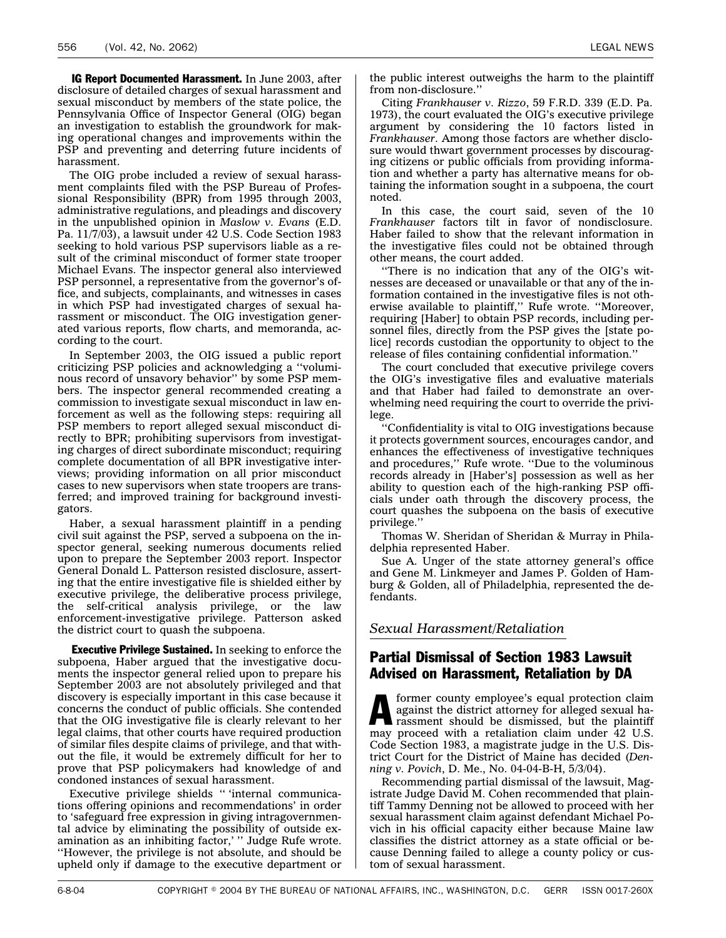<span id="page-19-0"></span>IG Report Documented Harassment. In June 2003, after disclosure of detailed charges of sexual harassment and sexual misconduct by members of the state police, the Pennsylvania Office of Inspector General (OIG) began an investigation to establish the groundwork for making operational changes and improvements within the PSP and preventing and deterring future incidents of harassment.

The OIG probe included a review of sexual harassment complaints filed with the PSP Bureau of Professional Responsibility (BPR) from 1995 through 2003, administrative regulations, and pleadings and discovery in the unpublished opinion in *Maslow v. Evans* (E.D. Pa. 11/7/03), a lawsuit under 42 U.S. Code Section 1983 seeking to hold various PSP supervisors liable as a result of the criminal misconduct of former state trooper Michael Evans. The inspector general also interviewed PSP personnel, a representative from the governor's office, and subjects, complainants, and witnesses in cases in which PSP had investigated charges of sexual harassment or misconduct. The OIG investigation generated various reports, flow charts, and memoranda, according to the court.

In September 2003, the OIG issued a public report criticizing PSP policies and acknowledging a ''voluminous record of unsavory behavior'' by some PSP members. The inspector general recommended creating a commission to investigate sexual misconduct in law enforcement as well as the following steps: requiring all PSP members to report alleged sexual misconduct directly to BPR; prohibiting supervisors from investigating charges of direct subordinate misconduct; requiring complete documentation of all BPR investigative interviews; providing information on all prior misconduct cases to new supervisors when state troopers are transferred; and improved training for background investigators.

Haber, a sexual harassment plaintiff in a pending civil suit against the PSP, served a subpoena on the inspector general, seeking numerous documents relied upon to prepare the September 2003 report. Inspector General Donald L. Patterson resisted disclosure, asserting that the entire investigative file is shielded either by executive privilege, the deliberative process privilege, the self-critical analysis privilege, or the law enforcement-investigative privilege. Patterson asked the district court to quash the subpoena.

**Executive Privilege Sustained.** In seeking to enforce the subpoena, Haber argued that the investigative documents the inspector general relied upon to prepare his September 2003 are not absolutely privileged and that discovery is especially important in this case because it concerns the conduct of public officials. She contended that the OIG investigative file is clearly relevant to her legal claims, that other courts have required production of similar files despite claims of privilege, and that without the file, it would be extremely difficult for her to prove that PSP policymakers had knowledge of and condoned instances of sexual harassment.

Executive privilege shields '' 'internal communications offering opinions and recommendations' in order to 'safeguard free expression in giving intragovernmental advice by eliminating the possibility of outside examination as an inhibiting factor,' '' Judge Rufe wrote. ''However, the privilege is not absolute, and should be upheld only if damage to the executive department or the public interest outweighs the harm to the plaintiff from non-disclosure.''

Citing *Frankhauser v. Rizzo*, 59 F.R.D. 339 (E.D. Pa. 1973), the court evaluated the OIG's executive privilege argument by considering the 10 factors listed in *Frankhauser*. Among those factors are whether disclosure would thwart government processes by discouraging citizens or public officials from providing information and whether a party has alternative means for obtaining the information sought in a subpoena, the court noted.

In this case, the court said, seven of the 10 *Frankhauser* factors tilt in favor of nondisclosure. Haber failed to show that the relevant information in the investigative files could not be obtained through other means, the court added.

''There is no indication that any of the OIG's witnesses are deceased or unavailable or that any of the information contained in the investigative files is not otherwise available to plaintiff,'' Rufe wrote. ''Moreover, requiring [Haber] to obtain PSP records, including personnel files, directly from the PSP gives the [state police] records custodian the opportunity to object to the release of files containing confidential information.''

The court concluded that executive privilege covers the OIG's investigative files and evaluative materials and that Haber had failed to demonstrate an overwhelming need requiring the court to override the privilege.

''Confidentiality is vital to OIG investigations because it protects government sources, encourages candor, and enhances the effectiveness of investigative techniques and procedures,'' Rufe wrote. ''Due to the voluminous records already in [Haber's] possession as well as her ability to question each of the high-ranking PSP officials under oath through the discovery process, the court quashes the subpoena on the basis of executive privilege.''

Thomas W. Sheridan of Sheridan & Murray in Philadelphia represented Haber.

Sue A. Unger of the state attorney general's office and Gene M. Linkmeyer and James P. Golden of Hamburg & Golden, all of Philadelphia, represented the defendants.

*Sexual Harassment/Retaliation*

#### Partial Dismissal of Section 1983 Lawsuit Advised on Harassment, Retaliation by DA

**A** former county employee's equal protection claim<br>against the district attorney for alleged sexual ha-<br>rassment should be dismissed, but the plaintiff against the district attorney for alleged sexual harassment should be dismissed, but the plaintiff may proceed with a retaliation claim under 42 U.S. Code Section 1983, a magistrate judge in the U.S. District Court for the District of Maine has decided (*Denning v. Povich*, D. Me., No. 04-04-B-H, 5/3/04).

Recommending partial dismissal of the lawsuit, Magistrate Judge David M. Cohen recommended that plaintiff Tammy Denning not be allowed to proceed with her sexual harassment claim against defendant Michael Povich in his official capacity either because Maine law classifies the district attorney as a state official or because Denning failed to allege a county policy or custom of sexual harassment.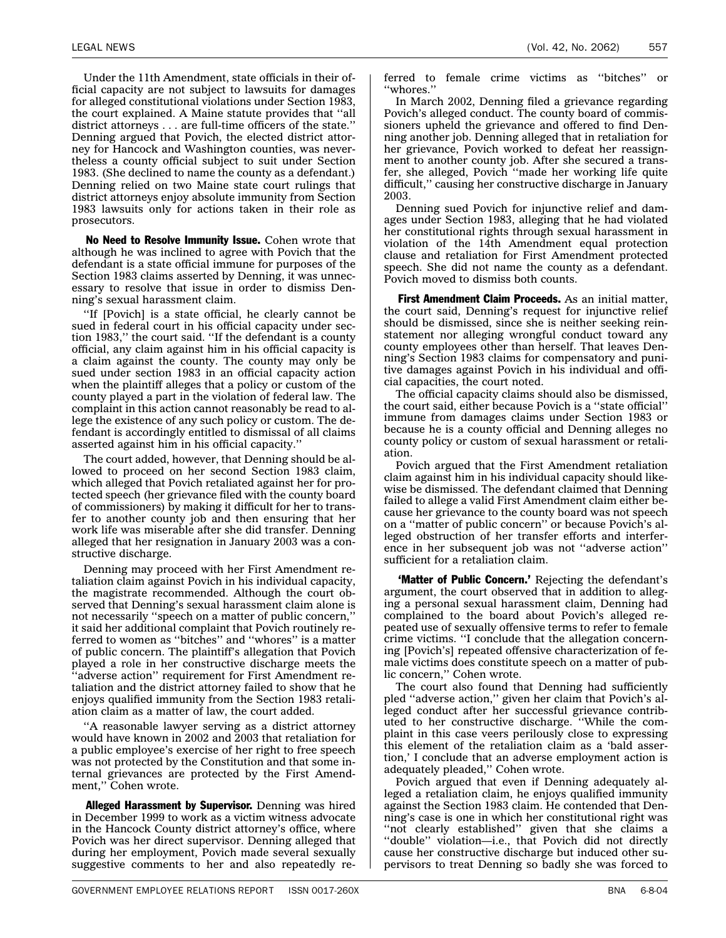Under the 11th Amendment, state officials in their official capacity are not subject to lawsuits for damages for alleged constitutional violations under Section 1983, the court explained. A Maine statute provides that ''all district attorneys . . . are full-time officers of the state.'' Denning argued that Povich, the elected district attorney for Hancock and Washington counties, was nevertheless a county official subject to suit under Section 1983. (She declined to name the county as a defendant.) Denning relied on two Maine state court rulings that district attorneys enjoy absolute immunity from Section 1983 lawsuits only for actions taken in their role as prosecutors.

No Need to Resolve Immunity Issue. Cohen wrote that although he was inclined to agree with Povich that the defendant is a state official immune for purposes of the Section 1983 claims asserted by Denning, it was unnecessary to resolve that issue in order to dismiss Denning's sexual harassment claim.

''If [Povich] is a state official, he clearly cannot be sued in federal court in his official capacity under section 1983,'' the court said. ''If the defendant is a county official, any claim against him in his official capacity is a claim against the county. The county may only be sued under section 1983 in an official capacity action when the plaintiff alleges that a policy or custom of the county played a part in the violation of federal law. The complaint in this action cannot reasonably be read to allege the existence of any such policy or custom. The defendant is accordingly entitled to dismissal of all claims asserted against him in his official capacity.''

The court added, however, that Denning should be allowed to proceed on her second Section 1983 claim, which alleged that Povich retaliated against her for protected speech (her grievance filed with the county board of commissioners) by making it difficult for her to transfer to another county job and then ensuring that her work life was miserable after she did transfer. Denning alleged that her resignation in January 2003 was a constructive discharge.

Denning may proceed with her First Amendment retaliation claim against Povich in his individual capacity, the magistrate recommended. Although the court observed that Denning's sexual harassment claim alone is not necessarily ''speech on a matter of public concern,'' it said her additional complaint that Povich routinely referred to women as ''bitches'' and ''whores'' is a matter of public concern. The plaintiff's allegation that Povich played a role in her constructive discharge meets the 'adverse action" requirement for First Amendment retaliation and the district attorney failed to show that he enjoys qualified immunity from the Section 1983 retaliation claim as a matter of law, the court added.

''A reasonable lawyer serving as a district attorney would have known in 2002 and 2003 that retaliation for a public employee's exercise of her right to free speech was not protected by the Constitution and that some internal grievances are protected by the First Amendment,'' Cohen wrote.

**Alleged Harassment by Supervisor.** Denning was hired in December 1999 to work as a victim witness advocate in the Hancock County district attorney's office, where Povich was her direct supervisor. Denning alleged that during her employment, Povich made several sexually suggestive comments to her and also repeatedly referred to female crime victims as ''bitches'' or ''whores.''

In March 2002, Denning filed a grievance regarding Povich's alleged conduct. The county board of commissioners upheld the grievance and offered to find Denning another job. Denning alleged that in retaliation for her grievance, Povich worked to defeat her reassignment to another county job. After she secured a transfer, she alleged, Povich ''made her working life quite difficult,'' causing her constructive discharge in January 2003.

Denning sued Povich for injunctive relief and damages under Section 1983, alleging that he had violated her constitutional rights through sexual harassment in violation of the 14th Amendment equal protection clause and retaliation for First Amendment protected speech. She did not name the county as a defendant. Povich moved to dismiss both counts.

**First Amendment Claim Proceeds.** As an initial matter, the court said, Denning's request for injunctive relief should be dismissed, since she is neither seeking reinstatement nor alleging wrongful conduct toward any county employees other than herself. That leaves Denning's Section 1983 claims for compensatory and punitive damages against Povich in his individual and official capacities, the court noted.

The official capacity claims should also be dismissed, the court said, either because Povich is a ''state official'' immune from damages claims under Section 1983 or because he is a county official and Denning alleges no county policy or custom of sexual harassment or retaliation.

Povich argued that the First Amendment retaliation claim against him in his individual capacity should likewise be dismissed. The defendant claimed that Denning failed to allege a valid First Amendment claim either because her grievance to the county board was not speech on a ''matter of public concern'' or because Povich's alleged obstruction of her transfer efforts and interference in her subsequent job was not ''adverse action'' sufficient for a retaliation claim.

'Matter of Public Concern.' Rejecting the defendant's argument, the court observed that in addition to alleging a personal sexual harassment claim, Denning had complained to the board about Povich's alleged repeated use of sexually offensive terms to refer to female crime victims. ''I conclude that the allegation concerning [Povich's] repeated offensive characterization of female victims does constitute speech on a matter of public concern,'' Cohen wrote.

The court also found that Denning had sufficiently pled ''adverse action,'' given her claim that Povich's alleged conduct after her successful grievance contributed to her constructive discharge. ''While the complaint in this case veers perilously close to expressing this element of the retaliation claim as a 'bald assertion,' I conclude that an adverse employment action is adequately pleaded,'' Cohen wrote.

Povich argued that even if Denning adequately alleged a retaliation claim, he enjoys qualified immunity against the Section 1983 claim. He contended that Denning's case is one in which her constitutional right was "not clearly established" given that she claims a ''double'' violation—i.e., that Povich did not directly cause her constructive discharge but induced other supervisors to treat Denning so badly she was forced to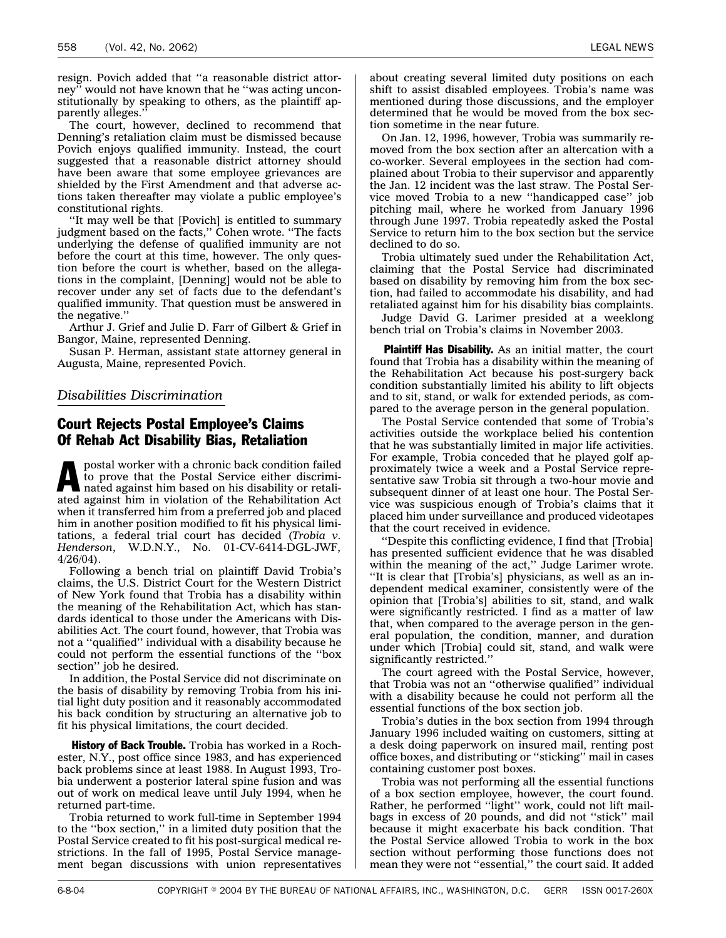<span id="page-21-0"></span>resign. Povich added that ''a reasonable district attorney'' would not have known that he ''was acting unconstitutionally by speaking to others, as the plaintiff apparently alleges.''

The court, however, declined to recommend that Denning's retaliation claim must be dismissed because Povich enjoys qualified immunity. Instead, the court suggested that a reasonable district attorney should have been aware that some employee grievances are shielded by the First Amendment and that adverse actions taken thereafter may violate a public employee's constitutional rights.

''It may well be that [Povich] is entitled to summary judgment based on the facts,'' Cohen wrote. ''The facts underlying the defense of qualified immunity are not before the court at this time, however. The only question before the court is whether, based on the allegations in the complaint, [Denning] would not be able to recover under any set of facts due to the defendant's qualified immunity. That question must be answered in the negative.''

Arthur J. Grief and Julie D. Farr of Gilbert & Grief in Bangor, Maine, represented Denning.

Susan P. Herman, assistant state attorney general in Augusta, Maine, represented Povich.

#### *Disabilities Discrimination*

#### Court Rejects Postal Employee's Claims Of Rehab Act Disability Bias, Retaliation

postal worker with a chronic back condition failed<br>to prove that the Postal Service either discrimi-<br>nated against him based on his disability or retalito prove that the Postal Service either discrimiated against him in violation of the Rehabilitation Act when it transferred him from a preferred job and placed him in another position modified to fit his physical limitations, a federal trial court has decided (*Trobia v. Henderson*, W.D.N.Y., No. 01-CV-6414-DGL-JWF, 4/26/04).

Following a bench trial on plaintiff David Trobia's claims, the U.S. District Court for the Western District of New York found that Trobia has a disability within the meaning of the Rehabilitation Act, which has standards identical to those under the Americans with Disabilities Act. The court found, however, that Trobia was not a ''qualified'' individual with a disability because he could not perform the essential functions of the ''box section'' job he desired.

In addition, the Postal Service did not discriminate on the basis of disability by removing Trobia from his initial light duty position and it reasonably accommodated his back condition by structuring an alternative job to fit his physical limitations, the court decided.

**History of Back Trouble.** Trobia has worked in a Rochester, N.Y., post office since 1983, and has experienced back problems since at least 1988. In August 1993, Trobia underwent a posterior lateral spine fusion and was out of work on medical leave until July 1994, when he returned part-time.

Trobia returned to work full-time in September 1994 to the ''box section,'' in a limited duty position that the Postal Service created to fit his post-surgical medical restrictions. In the fall of 1995, Postal Service management began discussions with union representatives about creating several limited duty positions on each shift to assist disabled employees. Trobia's name was mentioned during those discussions, and the employer determined that he would be moved from the box section sometime in the near future.

On Jan. 12, 1996, however, Trobia was summarily removed from the box section after an altercation with a co-worker. Several employees in the section had complained about Trobia to their supervisor and apparently the Jan. 12 incident was the last straw. The Postal Service moved Trobia to a new ''handicapped case'' job pitching mail, where he worked from January 1996 through June 1997. Trobia repeatedly asked the Postal Service to return him to the box section but the service declined to do so.

Trobia ultimately sued under the Rehabilitation Act, claiming that the Postal Service had discriminated based on disability by removing him from the box section, had failed to accommodate his disability, and had retaliated against him for his disability bias complaints.

Judge David G. Larimer presided at a weeklong bench trial on Trobia's claims in November 2003.

Plaintiff Has Disability. As an initial matter, the court found that Trobia has a disability within the meaning of the Rehabilitation Act because his post-surgery back condition substantially limited his ability to lift objects and to sit, stand, or walk for extended periods, as compared to the average person in the general population.

The Postal Service contended that some of Trobia's activities outside the workplace belied his contention that he was substantially limited in major life activities. For example, Trobia conceded that he played golf approximately twice a week and a Postal Service representative saw Trobia sit through a two-hour movie and subsequent dinner of at least one hour. The Postal Service was suspicious enough of Trobia's claims that it placed him under surveillance and produced videotapes that the court received in evidence.

''Despite this conflicting evidence, I find that [Trobia] has presented sufficient evidence that he was disabled within the meaning of the act," Judge Larimer wrote. ''It is clear that [Trobia's] physicians, as well as an independent medical examiner, consistently were of the opinion that [Trobia's] abilities to sit, stand, and walk were significantly restricted. I find as a matter of law that, when compared to the average person in the general population, the condition, manner, and duration under which [Trobia] could sit, stand, and walk were significantly restricted.''

The court agreed with the Postal Service, however, that Trobia was not an ''otherwise qualified'' individual with a disability because he could not perform all the essential functions of the box section job.

Trobia's duties in the box section from 1994 through January 1996 included waiting on customers, sitting at a desk doing paperwork on insured mail, renting post office boxes, and distributing or ''sticking'' mail in cases containing customer post boxes.

Trobia was not performing all the essential functions of a box section employee, however, the court found. Rather, he performed ''light'' work, could not lift mailbags in excess of 20 pounds, and did not ''stick'' mail because it might exacerbate his back condition. That the Postal Service allowed Trobia to work in the box section without performing those functions does not mean they were not ''essential,'' the court said. It added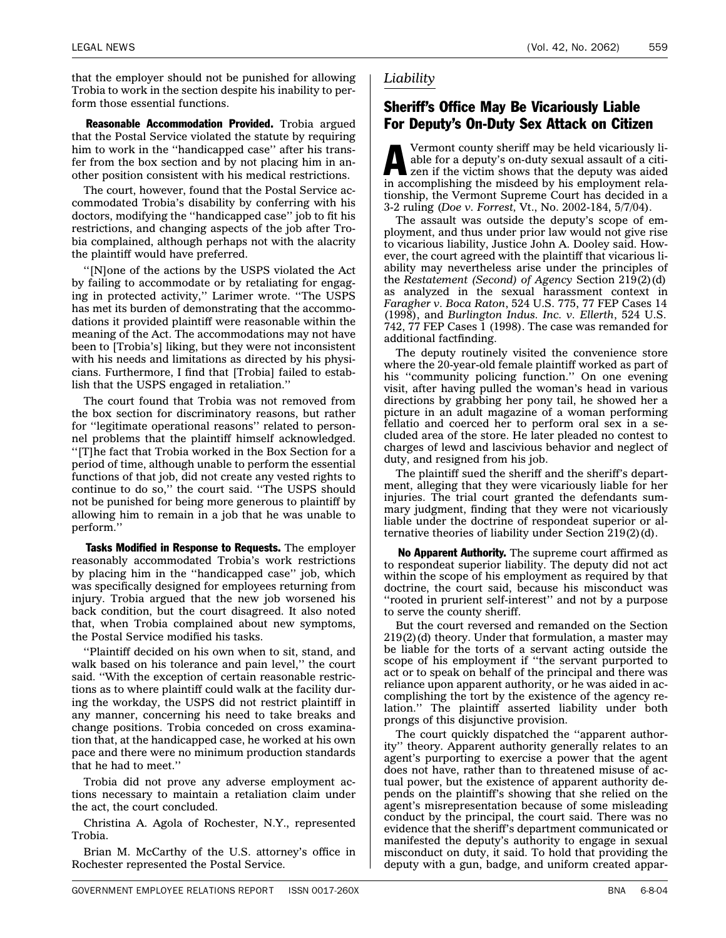<span id="page-22-0"></span>that the employer should not be punished for allowing Trobia to work in the section despite his inability to perform those essential functions.

**Reasonable Accommodation Provided.** Trobia argued that the Postal Service violated the statute by requiring him to work in the ''handicapped case'' after his transfer from the box section and by not placing him in another position consistent with his medical restrictions.

The court, however, found that the Postal Service accommodated Trobia's disability by conferring with his doctors, modifying the ''handicapped case'' job to fit his restrictions, and changing aspects of the job after Trobia complained, although perhaps not with the alacrity the plaintiff would have preferred.

''[N]one of the actions by the USPS violated the Act by failing to accommodate or by retaliating for engaging in protected activity,'' Larimer wrote. ''The USPS has met its burden of demonstrating that the accommodations it provided plaintiff were reasonable within the meaning of the Act. The accommodations may not have been to [Trobia's] liking, but they were not inconsistent with his needs and limitations as directed by his physicians. Furthermore, I find that [Trobia] failed to establish that the USPS engaged in retaliation.''

The court found that Trobia was not removed from the box section for discriminatory reasons, but rather for ''legitimate operational reasons'' related to personnel problems that the plaintiff himself acknowledged. ''[T]he fact that Trobia worked in the Box Section for a period of time, although unable to perform the essential functions of that job, did not create any vested rights to continue to do so,'' the court said. ''The USPS should not be punished for being more generous to plaintiff by allowing him to remain in a job that he was unable to perform.''

Tasks Modified in Response to Requests. The employer reasonably accommodated Trobia's work restrictions by placing him in the ''handicapped case'' job, which was specifically designed for employees returning from injury. Trobia argued that the new job worsened his back condition, but the court disagreed. It also noted that, when Trobia complained about new symptoms, the Postal Service modified his tasks.

''Plaintiff decided on his own when to sit, stand, and walk based on his tolerance and pain level,'' the court said. ''With the exception of certain reasonable restrictions as to where plaintiff could walk at the facility during the workday, the USPS did not restrict plaintiff in any manner, concerning his need to take breaks and change positions. Trobia conceded on cross examination that, at the handicapped case, he worked at his own pace and there were no minimum production standards that he had to meet.''

Trobia did not prove any adverse employment actions necessary to maintain a retaliation claim under the act, the court concluded.

Christina A. Agola of Rochester, N.Y., represented Trobia.

Brian M. McCarthy of the U.S. attorney's office in Rochester represented the Postal Service.

#### *Liability*

#### Sheriff's Office May Be Vicariously Liable For Deputy's On-Duty Sex Attack on Citizen

Vermont county sheriff may be held vicariously liable for a deputy's on-duty sexual assault of a citizen if the victim shows that the deputy was aided in accomplishing the misdeed by his employment relationship, the Vermont Supreme Court has decided in a 3-2 ruling (*Doe v. Forrest,* Vt., No. 2002-184, 5/7/04).

The assault was outside the deputy's scope of employment, and thus under prior law would not give rise to vicarious liability, Justice John A. Dooley said. However, the court agreed with the plaintiff that vicarious liability may nevertheless arise under the principles of the *Restatement (Second) of Agency* Section 219(2)(d) as analyzed in the sexual harassment context in *Faragher v. Boca Raton*, 524 U.S. 775, 77 FEP Cases 14 (1998), and *Burlington Indus. Inc. v. Ellerth*, 524 U.S. 742, 77 FEP Cases 1 (1998). The case was remanded for additional factfinding.

The deputy routinely visited the convenience store where the 20-year-old female plaintiff worked as part of his ''community policing function.'' On one evening visit, after having pulled the woman's head in various directions by grabbing her pony tail, he showed her a picture in an adult magazine of a woman performing fellatio and coerced her to perform oral sex in a secluded area of the store. He later pleaded no contest to charges of lewd and lascivious behavior and neglect of duty, and resigned from his job.

The plaintiff sued the sheriff and the sheriff's department, alleging that they were vicariously liable for her injuries. The trial court granted the defendants summary judgment, finding that they were not vicariously liable under the doctrine of respondeat superior or alternative theories of liability under Section 219(2)(d).

No Apparent Authority. The supreme court affirmed as to respondeat superior liability. The deputy did not act within the scope of his employment as required by that doctrine, the court said, because his misconduct was ''rooted in prurient self-interest'' and not by a purpose to serve the county sheriff.

But the court reversed and remanded on the Section 219(2)(d) theory. Under that formulation, a master may be liable for the torts of a servant acting outside the scope of his employment if ''the servant purported to act or to speak on behalf of the principal and there was reliance upon apparent authority, or he was aided in accomplishing the tort by the existence of the agency relation.'' The plaintiff asserted liability under both prongs of this disjunctive provision.

The court quickly dispatched the ''apparent authority'' theory. Apparent authority generally relates to an agent's purporting to exercise a power that the agent does not have, rather than to threatened misuse of actual power, but the existence of apparent authority depends on the plaintiff's showing that she relied on the agent's misrepresentation because of some misleading conduct by the principal, the court said. There was no evidence that the sheriff's department communicated or manifested the deputy's authority to engage in sexual misconduct on duty, it said. To hold that providing the deputy with a gun, badge, and uniform created appar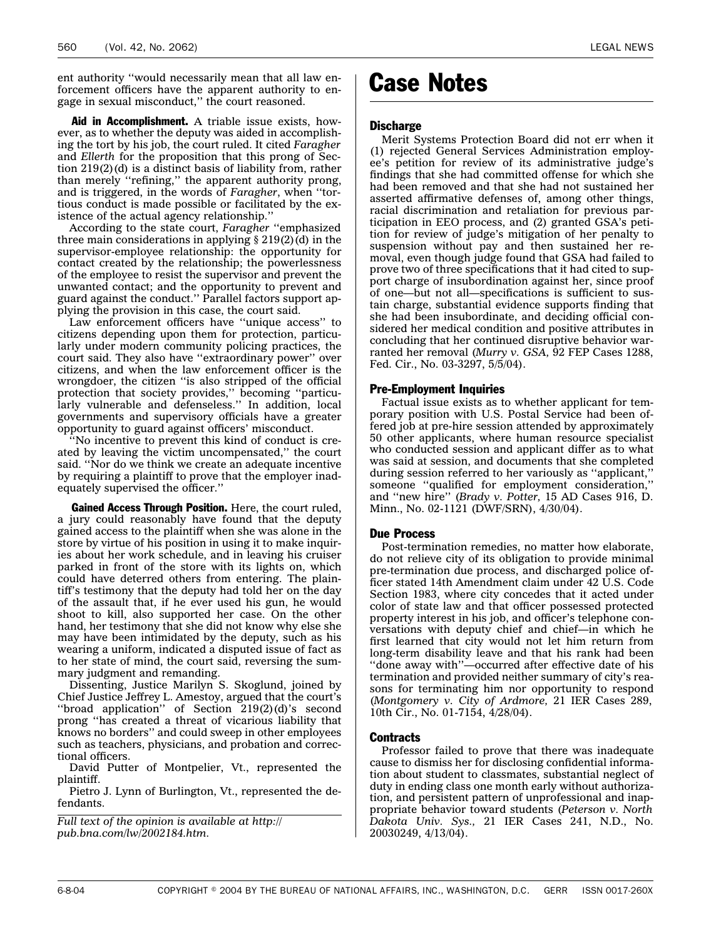<span id="page-23-0"></span>ent authority ''would necessarily mean that all law enforcement officers have the apparent authority to engage in sexual misconduct,'' the court reasoned.

Aid in Accomplishment. A triable issue exists, however, as to whether the deputy was aided in accomplishing the tort by his job, the court ruled. It cited *Faragher* and *Ellerth* for the proposition that this prong of Section 219(2)(d) is a distinct basis of liability from, rather than merely ''refining,'' the apparent authority prong, and is triggered, in the words of *Faragher*, when ''tortious conduct is made possible or facilitated by the existence of the actual agency relationship.''

According to the state court, *Faragher* ''emphasized three main considerations in applying  $\S 219(2)(d)$  in the supervisor-employee relationship: the opportunity for contact created by the relationship; the powerlessness of the employee to resist the supervisor and prevent the unwanted contact; and the opportunity to prevent and guard against the conduct.'' Parallel factors support applying the provision in this case, the court said.

Law enforcement officers have ''unique access'' to citizens depending upon them for protection, particularly under modern community policing practices, the court said. They also have ''extraordinary power'' over citizens, and when the law enforcement officer is the wrongdoer, the citizen ''is also stripped of the official protection that society provides,'' becoming ''particularly vulnerable and defenseless.'' In addition, local governments and supervisory officials have a greater opportunity to guard against officers' misconduct.

''No incentive to prevent this kind of conduct is created by leaving the victim uncompensated,'' the court said. ''Nor do we think we create an adequate incentive by requiring a plaintiff to prove that the employer inadequately supervised the officer.''

Gained Access Through Position. Here, the court ruled, a jury could reasonably have found that the deputy gained access to the plaintiff when she was alone in the store by virtue of his position in using it to make inquiries about her work schedule, and in leaving his cruiser parked in front of the store with its lights on, which could have deterred others from entering. The plaintiff's testimony that the deputy had told her on the day of the assault that, if he ever used his gun, he would shoot to kill, also supported her case. On the other hand, her testimony that she did not know why else she may have been intimidated by the deputy, such as his wearing a uniform, indicated a disputed issue of fact as to her state of mind, the court said, reversing the summary judgment and remanding.

Dissenting, Justice Marilyn S. Skoglund, joined by Chief Justice Jeffrey L. Amestoy, argued that the court's ''broad application'' of Section 219(2)(d)'s second prong ''has created a threat of vicarious liability that knows no borders'' and could sweep in other employees such as teachers, physicians, and probation and correctional officers.

David Putter of Montpelier, Vt., represented the plaintiff.

Pietro J. Lynn of Burlington, Vt., represented the defendants.

*Full text of the opinion is available at http:// pub.bna.com/lw/2002184.htm.*

### Case Notes

#### Discharge

Merit Systems Protection Board did not err when it (1) rejected General Services Administration employee's petition for review of its administrative judge's findings that she had committed offense for which she had been removed and that she had not sustained her asserted affirmative defenses of, among other things, racial discrimination and retaliation for previous participation in EEO process, and (2) granted GSA's petition for review of judge's mitigation of her penalty to suspension without pay and then sustained her removal, even though judge found that GSA had failed to prove two of three specifications that it had cited to support charge of insubordination against her, since proof of one—but not all—specifications is sufficient to sustain charge, substantial evidence supports finding that she had been insubordinate, and deciding official considered her medical condition and positive attributes in concluding that her continued disruptive behavior warranted her removal (*Murry v. GSA,* 92 FEP Cases 1288, Fed. Cir., No. 03-3297, 5/5/04).

#### Pre-Employment Inquiries

Factual issue exists as to whether applicant for temporary position with U.S. Postal Service had been offered job at pre-hire session attended by approximately 50 other applicants, where human resource specialist who conducted session and applicant differ as to what was said at session, and documents that she completed during session referred to her variously as ''applicant,'' someone ''qualified for employment consideration,'' and ''new hire'' (*Brady v. Potter,* 15 AD Cases 916, D. Minn., No. 02-1121 (DWF/SRN), 4/30/04).

#### Due Process

Post-termination remedies, no matter how elaborate, do not relieve city of its obligation to provide minimal pre-termination due process, and discharged police officer stated 14th Amendment claim under 42 U.S. Code Section 1983, where city concedes that it acted under color of state law and that officer possessed protected property interest in his job, and officer's telephone conversations with deputy chief and chief—in which he first learned that city would not let him return from long-term disability leave and that his rank had been ''done away with''—occurred after effective date of his termination and provided neither summary of city's reasons for terminating him nor opportunity to respond (*Montgomery v. City of Ardmore,* 21 IER Cases 289, 10th Cir., No. 01-7154, 4/28/04).

#### Contracts

Professor failed to prove that there was inadequate cause to dismiss her for disclosing confidential information about student to classmates, substantial neglect of duty in ending class one month early without authorization, and persistent pattern of unprofessional and inappropriate behavior toward students (*Peterson v. North Dakota Univ. Sys.,* 21 IER Cases 241, N.D., No. 20030249, 4/13/04).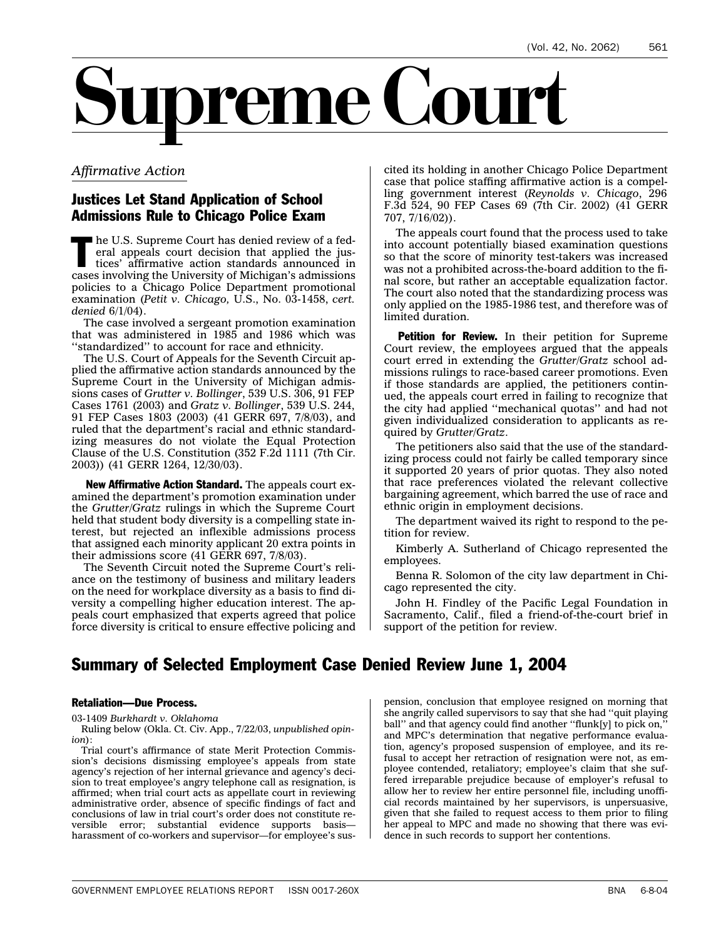<span id="page-24-0"></span>

#### *Affirmative Action*

#### Justices Let Stand Application of School Admissions Rule to Chicago Police Exam

 $\blacksquare$  he U.S. Supreme Court has denied review of a federal appeals court decision that applied the justices' affirmative action standards announced in cases involving the University of Michigan's admissions policies to a Chicago Police Department promotional examination (*Petit v. Chicago,* U.S., No. 03-1458, *cert. denied* 6/1/04).

The case involved a sergeant promotion examination that was administered in 1985 and 1986 which was ''standardized'' to account for race and ethnicity.

The U.S. Court of Appeals for the Seventh Circuit applied the affirmative action standards announced by the Supreme Court in the University of Michigan admissions cases of *Grutter v. Bollinger*, 539 U.S. 306, 91 FEP Cases 1761 (2003) and *Gratz v. Bollinger*, 539 U.S. 244, 91 FEP Cases 1803 (2003) (41 GERR 697, 7/8/03), and ruled that the department's racial and ethnic standardizing measures do not violate the Equal Protection Clause of the U.S. Constitution (352 F.2d 1111 (7th Cir. 2003)) (41 GERR 1264, 12/30/03).

New Affirmative Action Standard. The appeals court examined the department's promotion examination under the *Grutter/Gratz* rulings in which the Supreme Court held that student body diversity is a compelling state interest, but rejected an inflexible admissions process that assigned each minority applicant 20 extra points in their admissions score (41 GERR 697, 7/8/03).

The Seventh Circuit noted the Supreme Court's reliance on the testimony of business and military leaders on the need for workplace diversity as a basis to find diversity a compelling higher education interest. The appeals court emphasized that experts agreed that police force diversity is critical to ensure effective policing and

cited its holding in another Chicago Police Department case that police staffing affirmative action is a compelling government interest (*Reynolds v. Chicago*, 296 F.3d 524, 90 FEP Cases 69 (7th Cir. 2002) (41 GERR 707, 7/16/02)).

The appeals court found that the process used to take into account potentially biased examination questions so that the score of minority test-takers was increased was not a prohibited across-the-board addition to the final score, but rather an acceptable equalization factor. The court also noted that the standardizing process was only applied on the 1985-1986 test, and therefore was of limited duration.

Petition for Review. In their petition for Supreme Court review, the employees argued that the appeals court erred in extending the *Grutter/Gratz* school admissions rulings to race-based career promotions. Even if those standards are applied, the petitioners continued, the appeals court erred in failing to recognize that the city had applied ''mechanical quotas'' and had not given individualized consideration to applicants as required by *Grutter/Gratz*.

The petitioners also said that the use of the standardizing process could not fairly be called temporary since it supported 20 years of prior quotas. They also noted that race preferences violated the relevant collective bargaining agreement, which barred the use of race and ethnic origin in employment decisions.

The department waived its right to respond to the petition for review.

Kimberly A. Sutherland of Chicago represented the employees.

Benna R. Solomon of the city law department in Chicago represented the city.

John H. Findley of the Pacific Legal Foundation in Sacramento, Calif., filed a friend-of-the-court brief in support of the petition for review.

#### Summary of Selected Employment Case Denied Review June 1, 2004

#### Retaliation—Due Process.

03-1409 *Burkhardt v. Oklahoma*

Ruling below (Okla. Ct. Civ. App., 7/22/03, *unpublished opinion*):

Trial court's affirmance of state Merit Protection Commission's decisions dismissing employee's appeals from state agency's rejection of her internal grievance and agency's decision to treat employee's angry telephone call as resignation, is affirmed; when trial court acts as appellate court in reviewing administrative order, absence of specific findings of fact and conclusions of law in trial court's order does not constitute reversible error; substantial evidence supports basis harassment of co-workers and supervisor—for employee's sus-

pension, conclusion that employee resigned on morning that she angrily called supervisors to say that she had ''quit playing ball" and that agency could find another "flunk[y] to pick on, and MPC's determination that negative performance evaluation, agency's proposed suspension of employee, and its refusal to accept her retraction of resignation were not, as employee contended, retaliatory; employee's claim that she suffered irreparable prejudice because of employer's refusal to allow her to review her entire personnel file, including unofficial records maintained by her supervisors, is unpersuasive, given that she failed to request access to them prior to filing her appeal to MPC and made no showing that there was evidence in such records to support her contentions.